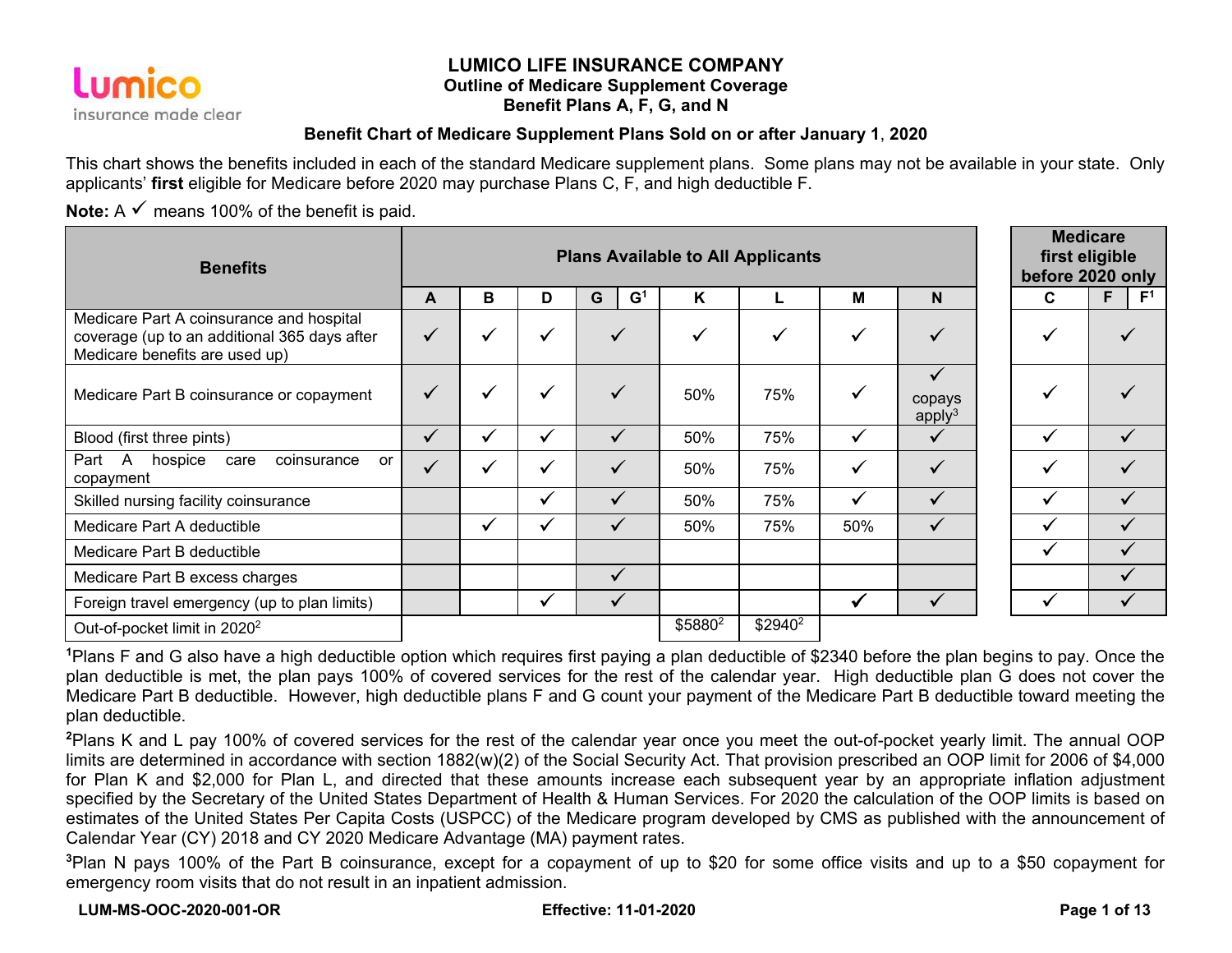

#### **LUMICO LIFE INSURANCE COMPANY Outline of Medicare Supplement Coverage Benefit Plans A, F, G, and N**

#### **Benefit Chart of Medicare Supplement Plans Sold on or after January 1**, **2020**

This chart shows the benefits included in each of the standard Medicare supplement plans. Some plans may not be available in your state. Only applicants' **first** eligible for Medicare before 2020 may purchase Plans C, F, and high deductible F.

**Note:** A  $\checkmark$  means 100% of the benefit is paid.

| <b>Benefits</b>                                                                                                            |              | <b>Plans Available to All Applicants</b> |              |                     |                     |                     |              |                              | <b>Medicare</b><br>first eligible<br>before 2020 only |                      |  |
|----------------------------------------------------------------------------------------------------------------------------|--------------|------------------------------------------|--------------|---------------------|---------------------|---------------------|--------------|------------------------------|-------------------------------------------------------|----------------------|--|
|                                                                                                                            | A            | В                                        | D            | G <sup>1</sup><br>G | K                   |                     | M            | N                            | C                                                     | F <sup>1</sup><br>F. |  |
| Medicare Part A coinsurance and hospital<br>coverage (up to an additional 365 days after<br>Medicare benefits are used up) | $\checkmark$ | $\checkmark$                             | √            |                     |                     |                     | $\checkmark$ |                              |                                                       |                      |  |
| Medicare Part B coinsurance or copayment                                                                                   | $\checkmark$ | $\checkmark$                             | ✔            |                     | 50%                 | 75%                 | $\checkmark$ | copays<br>apply <sup>3</sup> |                                                       |                      |  |
| Blood (first three pints)                                                                                                  | $\checkmark$ | $\checkmark$                             | ✓            | ✓                   | 50%                 | 75%                 | $\checkmark$ | ✓                            | $\overline{\mathbf{u}}$                               |                      |  |
| Part<br>A —<br>coinsurance<br>hospice<br>care<br><b>or</b><br>copayment                                                    | $\checkmark$ | ✔                                        | $\checkmark$ | ✓                   | 50%                 | 75%                 | $\checkmark$ | ✓                            | ✓                                                     |                      |  |
| Skilled nursing facility coinsurance                                                                                       |              |                                          | $\checkmark$ | ✓                   | 50%                 | 75%                 | $\checkmark$ |                              |                                                       |                      |  |
| Medicare Part A deductible                                                                                                 |              | ✔                                        | ✓            | ✓                   | 50%                 | 75%                 | 50%          | ✓                            |                                                       |                      |  |
| Medicare Part B deductible                                                                                                 |              |                                          |              |                     |                     |                     |              |                              |                                                       |                      |  |
| Medicare Part B excess charges                                                                                             |              |                                          |              | $\checkmark$        |                     |                     |              |                              |                                                       |                      |  |
| Foreign travel emergency (up to plan limits)                                                                               |              |                                          | ✓            | ✓                   |                     |                     | ₩            |                              |                                                       |                      |  |
| Out-of-pocket limit in 2020 <sup>2</sup>                                                                                   |              |                                          |              |                     | \$5880 <sup>2</sup> | \$2940 <sup>2</sup> |              |                              |                                                       |                      |  |

**<sup>1</sup>**Plans F and G also have a high deductible option which requires first paying a plan deductible of \$2340 before the plan begins to pay. Once the plan deductible is met, the plan pays 100% of covered services for the rest of the calendar year. High deductible plan G does not cover the Medicare Part B deductible. However, high deductible plans F and G count your payment of the Medicare Part B deductible toward meeting the plan deductible.

**<sup>2</sup>**Plans K and L pay 100% of covered services for the rest of the calendar year once you meet the out-of-pocket yearly limit. The annual OOP limits are determined in accordance with section 1882(w)(2) of the Social Security Act. That provision prescribed an OOP limit for 2006 of \$4,000 for Plan K and \$2,000 for Plan L, and directed that these amounts increase each subsequent year by an appropriate inflation adjustment specified by the Secretary of the United States Department of Health & Human Services. For 2020 the calculation of the OOP limits is based on estimates of the United States Per Capita Costs (USPCC) of the Medicare program developed by CMS as published with the announcement of Calendar Year (CY) 2018 and CY 2020 Medicare Advantage (MA) payment rates.

**<sup>3</sup>**Plan N pays 100% of the Part B coinsurance, except for a copayment of up to \$20 for some office visits and up to a \$50 copayment for emergency room visits that do not result in an inpatient admission.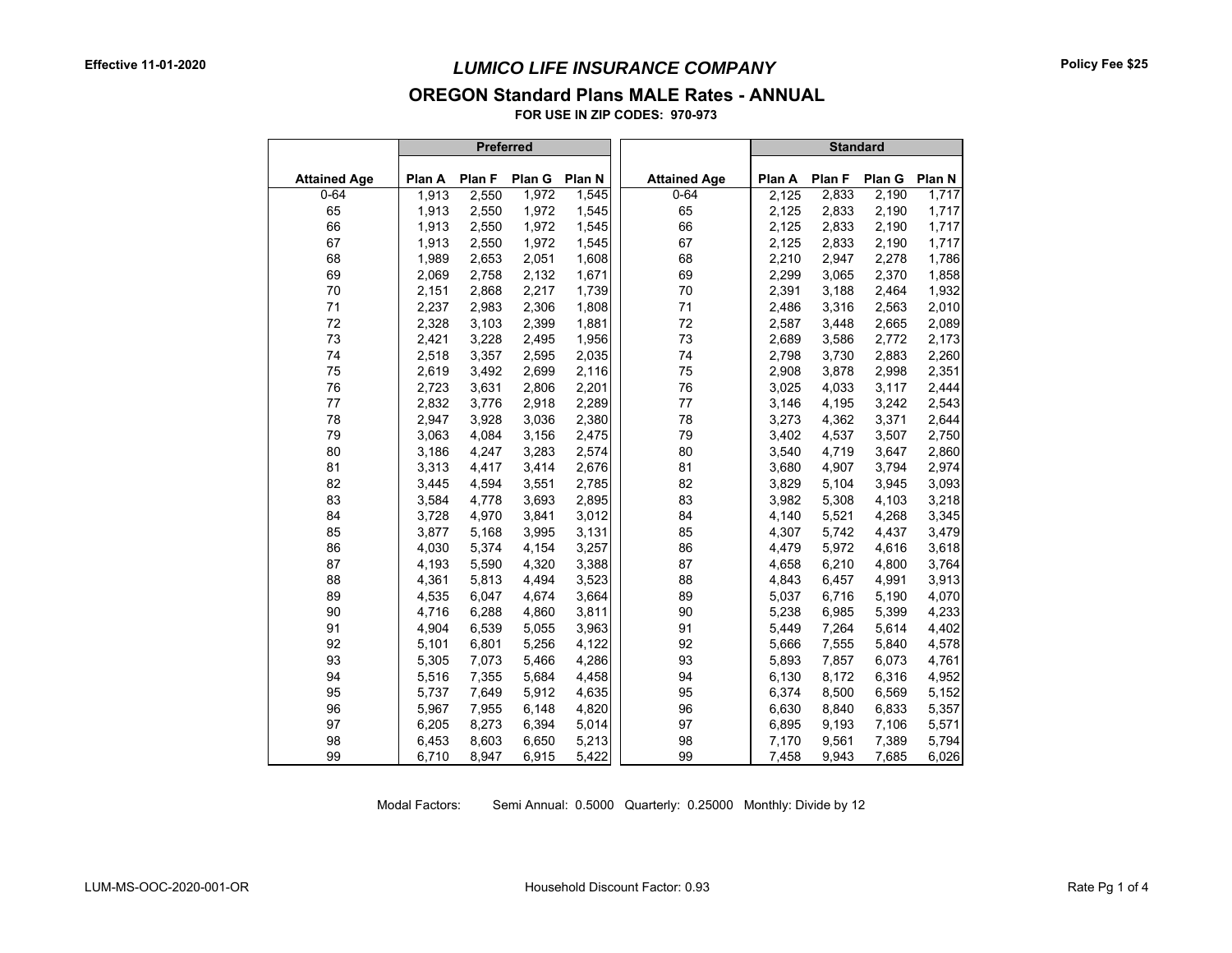#### **OREGON Standard Plans MALE Rates - ANNUAL**

**FOR USE IN ZIP CODES: 970-973**

|                     |        | <b>Preferred</b> |        |        |                     |        | <b>Standard</b> |        |        |
|---------------------|--------|------------------|--------|--------|---------------------|--------|-----------------|--------|--------|
| <b>Attained Age</b> | Plan A | Plan F           | Plan G | Plan N | <b>Attained Age</b> | Plan A | Plan F          | Plan G | Plan N |
| $0 - 64$            | 1,913  | 2,550            | 1,972  | 1,545  | $0 - 64$            | 2,125  | 2,833           | 2,190  | 1,717  |
| 65                  | 1,913  | 2,550            | 1,972  | 1,545  | 65                  | 2,125  | 2,833           | 2,190  | 1,717  |
| 66                  | 1,913  | 2,550            | 1,972  | 1,545  | 66                  | 2,125  | 2,833           | 2,190  | 1,717  |
| 67                  | 1,913  | 2,550            | 1,972  | 1,545  | 67                  | 2,125  | 2,833           | 2,190  | 1,717  |
| 68                  | 1,989  | 2,653            | 2,051  | 1,608  | 68                  | 2,210  | 2,947           | 2,278  | 1,786  |
| 69                  | 2,069  | 2,758            | 2,132  | 1,671  | 69                  | 2,299  | 3,065           | 2,370  | 1,858  |
| 70                  | 2,151  | 2,868            | 2,217  | 1,739  | 70                  | 2,391  | 3,188           | 2,464  | 1,932  |
| 71                  | 2,237  | 2,983            | 2,306  | 1,808  | 71                  | 2,486  | 3,316           | 2,563  | 2,010  |
| 72                  | 2,328  | 3,103            | 2,399  | 1,881  | 72                  | 2,587  | 3,448           | 2,665  | 2,089  |
| 73                  | 2,421  | 3,228            | 2,495  | 1,956  | 73                  | 2,689  | 3,586           | 2,772  | 2,173  |
| 74                  | 2,518  | 3,357            | 2,595  | 2,035  | 74                  | 2,798  | 3,730           | 2,883  | 2,260  |
| 75                  | 2,619  | 3,492            | 2,699  | 2,116  | 75                  | 2,908  | 3,878           | 2,998  | 2,351  |
| 76                  | 2,723  | 3,631            | 2,806  | 2,201  | 76                  | 3,025  | 4,033           | 3,117  | 2,444  |
| 77                  | 2,832  | 3,776            | 2,918  | 2,289  | 77                  | 3,146  | 4,195           | 3,242  | 2,543  |
| 78                  | 2,947  | 3,928            | 3,036  | 2,380  | 78                  | 3,273  | 4,362           | 3,371  | 2,644  |
| 79                  | 3,063  | 4,084            | 3,156  | 2,475  | 79                  | 3,402  | 4,537           | 3,507  | 2,750  |
| 80                  | 3,186  | 4,247            | 3,283  | 2,574  | 80                  | 3,540  | 4,719           | 3,647  | 2,860  |
| 81                  | 3,313  | 4,417            | 3,414  | 2,676  | 81                  | 3,680  | 4,907           | 3,794  | 2,974  |
| 82                  | 3,445  | 4,594            | 3,551  | 2,785  | 82                  | 3,829  | 5,104           | 3,945  | 3,093  |
| 83                  | 3,584  | 4,778            | 3,693  | 2,895  | 83                  | 3,982  | 5,308           | 4,103  | 3,218  |
| 84                  | 3,728  | 4,970            | 3,841  | 3,012  | 84                  | 4,140  | 5,521           | 4,268  | 3,345  |
| 85                  | 3,877  | 5,168            | 3,995  | 3.131  | 85                  | 4,307  | 5,742           | 4,437  | 3,479  |
| 86                  | 4,030  | 5,374            | 4,154  | 3,257  | 86                  | 4,479  | 5,972           | 4,616  | 3,618  |
| 87                  | 4,193  | 5,590            | 4,320  | 3,388  | 87                  | 4,658  | 6,210           | 4,800  | 3,764  |
| 88                  | 4,361  | 5,813            | 4,494  | 3,523  | 88                  | 4,843  | 6,457           | 4,991  | 3,913  |
| 89                  | 4,535  | 6,047            | 4,674  | 3,664  | 89                  | 5,037  | 6,716           | 5,190  | 4,070  |
| 90                  | 4,716  | 6,288            | 4,860  | 3,811  | 90                  | 5,238  | 6,985           | 5,399  | 4,233  |
| 91                  | 4,904  | 6,539            | 5,055  | 3,963  | 91                  | 5,449  | 7,264           | 5,614  | 4,402  |
| 92                  | 5,101  | 6,801            | 5,256  | 4,122  | 92                  | 5,666  | 7,555           | 5,840  | 4,578  |
| 93                  | 5,305  | 7,073            | 5,466  | 4,286  | 93                  | 5,893  | 7,857           | 6,073  | 4,761  |
| 94                  | 5,516  | 7,355            | 5,684  | 4,458  | 94                  | 6,130  | 8,172           | 6,316  | 4,952  |
| 95                  | 5,737  | 7,649            | 5,912  | 4,635  | 95                  | 6,374  | 8,500           | 6,569  | 5,152  |
| 96                  | 5,967  | 7,955            | 6,148  | 4,820  | 96                  | 6,630  | 8,840           | 6,833  | 5,357  |
| 97                  | 6,205  | 8,273            | 6,394  | 5,014  | 97                  | 6,895  | 9,193           | 7,106  | 5,571  |
| 98                  | 6,453  | 8,603            | 6,650  | 5,213  | 98                  | 7,170  | 9,561           | 7,389  | 5,794  |
| 99                  | 6,710  | 8,947            | 6,915  | 5,422  | 99                  | 7,458  | 9,943           | 7,685  | 6,026  |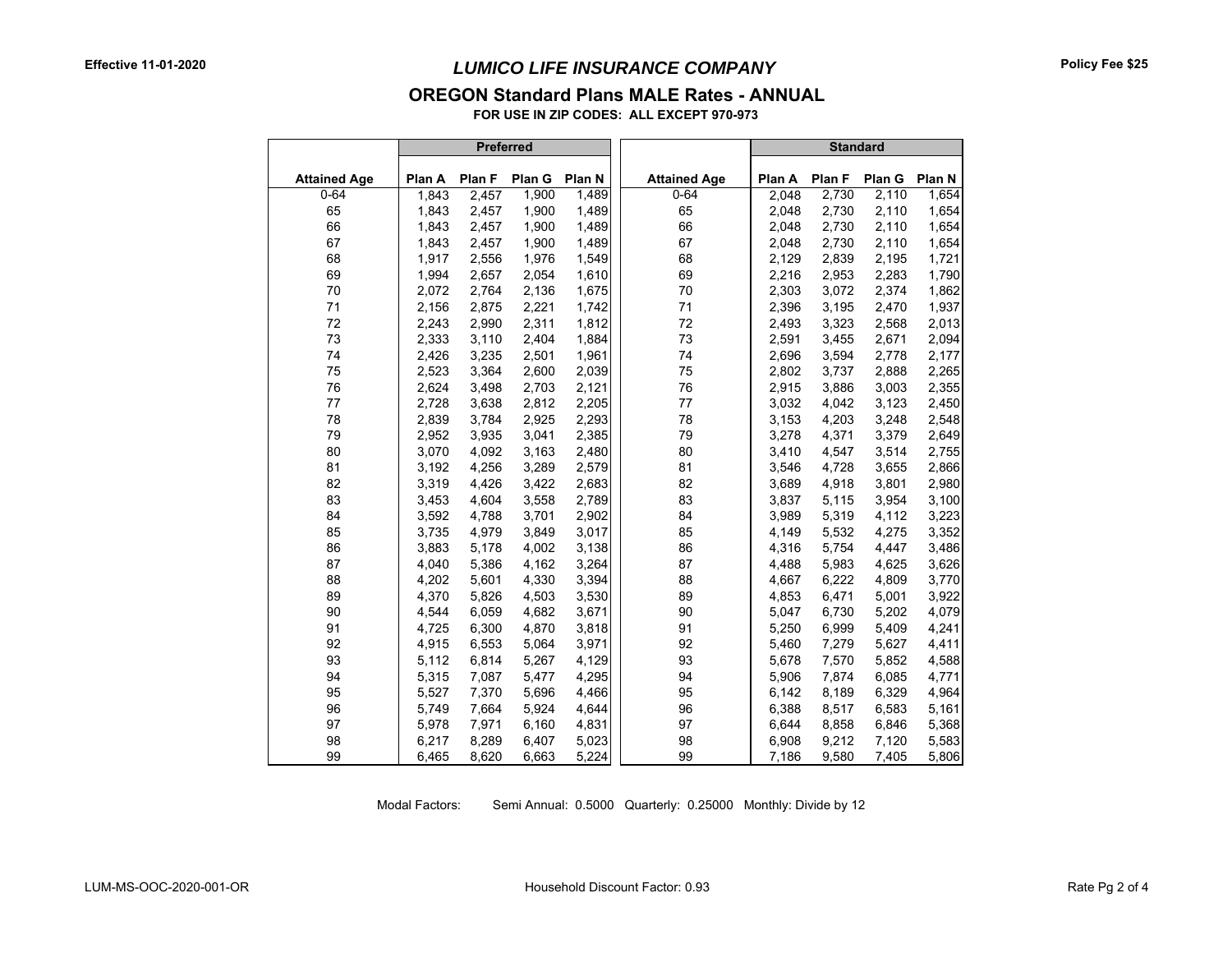## *LUMICO LIFE INSURANCE COMPANY*

#### **OREGON Standard Plans MALE Rates - ANNUAL**

**FOR USE IN ZIP CODES: ALL EXCEPT 970-973**

|                     |        | <b>Preferred</b> |        |        |                     |        | <b>Standard</b> |        |        |
|---------------------|--------|------------------|--------|--------|---------------------|--------|-----------------|--------|--------|
| <b>Attained Age</b> | Plan A | Plan F           | Plan G | Plan N | <b>Attained Age</b> | Plan A | Plan F          | Plan G | Plan N |
| $0 - 64$            | 1,843  | 2,457            | 1,900  | 1,489  | $0 - 64$            | 2,048  | 2,730           | 2,110  | 1,654  |
| 65                  | 1,843  | 2,457            | 1,900  | 1,489  | 65                  | 2,048  | 2,730           | 2,110  | 1,654  |
| 66                  | 1,843  | 2,457            | 1,900  | 1,489  | 66                  | 2,048  | 2,730           | 2,110  | 1,654  |
| 67                  | 1,843  | 2,457            | 1,900  | 1,489  | 67                  | 2,048  | 2,730           | 2,110  | 1,654  |
| 68                  | 1,917  | 2,556            | 1,976  | 1,549  | 68                  | 2,129  | 2,839           | 2,195  | 1,721  |
| 69                  | 1,994  | 2,657            | 2,054  | 1,610  | 69                  | 2,216  | 2,953           | 2,283  | 1,790  |
| 70                  | 2,072  | 2,764            | 2,136  | 1,675  | 70                  | 2,303  | 3,072           | 2,374  | 1,862  |
| 71                  | 2,156  | 2,875            | 2,221  | 1,742  | 71                  | 2,396  | 3,195           | 2,470  | 1,937  |
| 72                  | 2,243  | 2,990            | 2,311  | 1,812  | 72                  | 2,493  | 3,323           | 2,568  | 2,013  |
| 73                  | 2,333  | 3,110            | 2,404  | 1,884  | 73                  | 2,591  | 3,455           | 2,671  | 2,094  |
| 74                  | 2,426  | 3,235            | 2,501  | 1,961  | 74                  | 2,696  | 3,594           | 2,778  | 2,177  |
| 75                  | 2,523  | 3,364            | 2,600  | 2,039  | 75                  | 2,802  | 3,737           | 2,888  | 2,265  |
| 76                  | 2,624  | 3,498            | 2,703  | 2,121  | 76                  | 2,915  | 3,886           | 3,003  | 2,355  |
| 77                  | 2,728  | 3,638            | 2,812  | 2,205  | 77                  | 3,032  | 4,042           | 3,123  | 2,450  |
| 78                  | 2,839  | 3,784            | 2,925  | 2,293  | 78                  | 3,153  | 4,203           | 3,248  | 2,548  |
| 79                  | 2,952  | 3,935            | 3,041  | 2,385  | 79                  | 3,278  | 4,371           | 3,379  | 2,649  |
| 80                  | 3,070  | 4,092            | 3,163  | 2,480  | 80                  | 3,410  | 4,547           | 3,514  | 2,755  |
| 81                  | 3,192  | 4,256            | 3,289  | 2,579  | 81                  | 3,546  | 4,728           | 3,655  | 2,866  |
| 82                  | 3,319  | 4,426            | 3,422  | 2,683  | 82                  | 3,689  | 4,918           | 3,801  | 2,980  |
| 83                  | 3,453  | 4,604            | 3,558  | 2,789  | 83                  | 3,837  | 5,115           | 3,954  | 3,100  |
| 84                  | 3,592  | 4,788            | 3,701  | 2,902  | 84                  | 3,989  | 5,319           | 4,112  | 3,223  |
| 85                  | 3,735  | 4,979            | 3,849  | 3,017  | 85                  | 4,149  | 5,532           | 4,275  | 3,352  |
| 86                  | 3,883  | 5,178            | 4,002  | 3,138  | 86                  | 4,316  | 5,754           | 4,447  | 3,486  |
| 87                  | 4,040  | 5,386            | 4,162  | 3,264  | 87                  | 4,488  | 5,983           | 4,625  | 3,626  |
| 88                  | 4,202  | 5,601            | 4,330  | 3,394  | 88                  | 4,667  | 6,222           | 4,809  | 3,770  |
| 89                  | 4,370  | 5,826            | 4,503  | 3,530  | 89                  | 4,853  | 6,471           | 5,001  | 3,922  |
| 90                  | 4,544  | 6,059            | 4,682  | 3,671  | 90                  | 5,047  | 6,730           | 5,202  | 4,079  |
| 91                  | 4,725  | 6,300            | 4,870  | 3,818  | 91                  | 5,250  | 6,999           | 5,409  | 4,241  |
| 92                  | 4,915  | 6,553            | 5,064  | 3,971  | 92                  | 5,460  | 7,279           | 5,627  | 4,411  |
| 93                  | 5,112  | 6,814            | 5,267  | 4,129  | 93                  | 5,678  | 7,570           | 5,852  | 4,588  |
| 94                  | 5,315  | 7,087            | 5,477  | 4,295  | 94                  | 5,906  | 7,874           | 6,085  | 4,771  |
| 95                  | 5,527  | 7,370            | 5,696  | 4,466  | 95                  | 6,142  | 8,189           | 6,329  | 4,964  |
| 96                  | 5,749  | 7,664            | 5,924  | 4,644  | 96                  | 6,388  | 8,517           | 6,583  | 5,161  |
| 97                  | 5,978  | 7,971            | 6,160  | 4,831  | 97                  | 6,644  | 8,858           | 6,846  | 5,368  |
| 98                  | 6,217  | 8,289            | 6,407  | 5,023  | 98                  | 6,908  | 9,212           | 7,120  | 5,583  |
| 99                  | 6.465  | 8,620            | 6,663  | 5,224  | 99                  | 7,186  | 9,580           | 7,405  | 5,806  |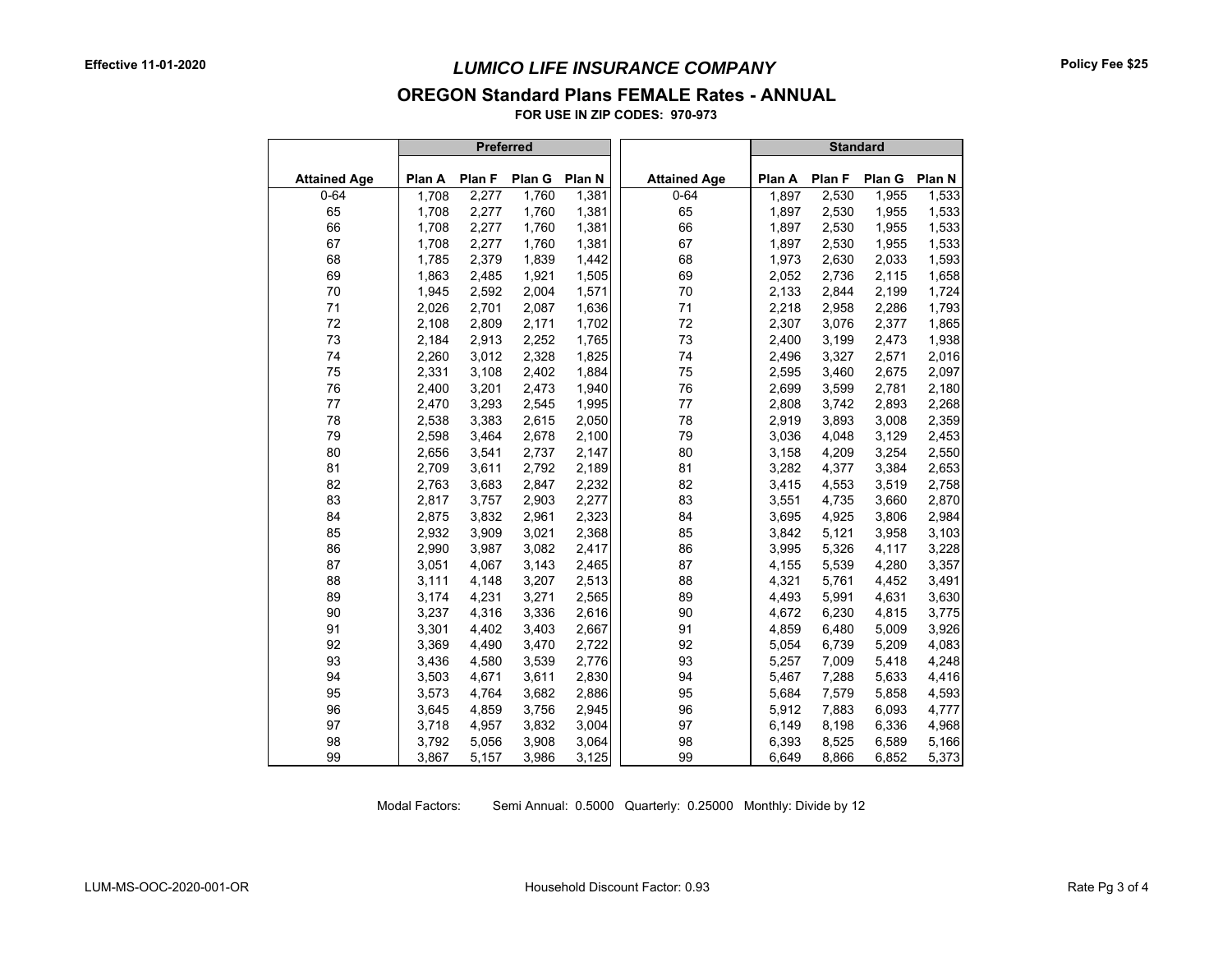#### **OREGON Standard Plans FEMALE Rates - ANNUAL**

**FOR USE IN ZIP CODES: 970-973**

|                     |        | <b>Preferred</b> |        |        |                     |        | <b>Standard</b> |        |        |
|---------------------|--------|------------------|--------|--------|---------------------|--------|-----------------|--------|--------|
| <b>Attained Age</b> | Plan A | Plan F           | Plan G | Plan N | <b>Attained Age</b> | Plan A | Plan F          | Plan G | Plan N |
| $0 - 64$            | 1,708  | 2,277            | 1,760  | 1,381  | $0 - 64$            | 1,897  | 2,530           | 1,955  | 1,533  |
| 65                  | 1,708  | 2,277            | 1,760  | 1,381  | 65                  | 1,897  | 2,530           | 1,955  | 1,533  |
| 66                  | 1,708  | 2,277            | 1,760  | 1,381  | 66                  | 1,897  | 2,530           | 1,955  | 1,533  |
| 67                  | 1,708  | 2,277            | 1,760  | 1,381  | 67                  | 1,897  | 2,530           | 1,955  | 1,533  |
| 68                  | 1,785  | 2,379            | 1,839  | 1,442  | 68                  | 1,973  | 2,630           | 2,033  | 1,593  |
| 69                  | 1,863  | 2,485            | 1,921  | 1,505  | 69                  | 2,052  | 2,736           | 2,115  | 1,658  |
| 70                  | 1,945  | 2,592            | 2,004  | 1,571  | 70                  | 2,133  | 2,844           | 2,199  | 1,724  |
| 71                  | 2,026  | 2,701            | 2,087  | 1,636  | 71                  | 2,218  | 2,958           | 2,286  | 1,793  |
| 72                  | 2,108  | 2,809            | 2,171  | 1,702  | 72                  | 2,307  | 3,076           | 2,377  | 1,865  |
| 73                  | 2,184  | 2,913            | 2,252  | 1,765  | 73                  | 2,400  | 3,199           | 2,473  | 1,938  |
| 74                  | 2,260  | 3,012            | 2,328  | 1,825  | 74                  | 2,496  | 3,327           | 2,571  | 2,016  |
| 75                  | 2,331  | 3,108            | 2,402  | 1.884  | 75                  | 2,595  | 3,460           | 2,675  | 2,097  |
| 76                  | 2,400  | 3,201            | 2,473  | 1,940  | 76                  | 2,699  | 3,599           | 2,781  | 2,180  |
| 77                  | 2,470  | 3,293            | 2,545  | 1,995  | 77                  | 2,808  | 3,742           | 2,893  | 2,268  |
| 78                  | 2,538  | 3,383            | 2,615  | 2,050  | 78                  | 2,919  | 3,893           | 3,008  | 2,359  |
| 79                  | 2,598  | 3,464            | 2,678  | 2,100  | 79                  | 3,036  | 4,048           | 3,129  | 2,453  |
| 80                  | 2,656  | 3,541            | 2,737  | 2,147  | 80                  | 3,158  | 4,209           | 3,254  | 2,550  |
| 81                  | 2,709  | 3,611            | 2,792  | 2,189  | 81                  | 3,282  | 4,377           | 3,384  | 2,653  |
| 82                  | 2,763  | 3,683            | 2,847  | 2,232  | 82                  | 3,415  | 4,553           | 3,519  | 2,758  |
| 83                  | 2,817  | 3,757            | 2,903  | 2,277  | 83                  | 3,551  | 4,735           | 3,660  | 2,870  |
| 84                  | 2,875  | 3,832            | 2,961  | 2,323  | 84                  | 3,695  | 4,925           | 3,806  | 2,984  |
| 85                  | 2,932  | 3,909            | 3,021  | 2,368  | 85                  | 3,842  | 5,121           | 3,958  | 3,103  |
| 86                  | 2,990  | 3,987            | 3,082  | 2,417  | 86                  | 3,995  | 5,326           | 4,117  | 3,228  |
| 87                  | 3,051  | 4,067            | 3,143  | 2,465  | 87                  | 4,155  | 5,539           | 4,280  | 3,357  |
| 88                  | 3,111  | 4,148            | 3,207  | 2,513  | 88                  | 4,321  | 5,761           | 4,452  | 3,491  |
| 89                  | 3,174  | 4,231            | 3,271  | 2,565  | 89                  | 4,493  | 5,991           | 4,631  | 3,630  |
| 90                  | 3,237  | 4,316            | 3,336  | 2,616  | 90                  | 4,672  | 6,230           | 4,815  | 3,775  |
| 91                  | 3,301  | 4,402            | 3,403  | 2,667  | 91                  | 4,859  | 6,480           | 5,009  | 3,926  |
| 92                  | 3,369  | 4,490            | 3,470  | 2,722  | 92                  | 5,054  | 6,739           | 5,209  | 4,083  |
| 93                  | 3,436  | 4,580            | 3,539  | 2,776  | 93                  | 5,257  | 7,009           | 5,418  | 4,248  |
| 94                  | 3,503  | 4,671            | 3,611  | 2,830  | 94                  | 5,467  | 7,288           | 5,633  | 4,416  |
| 95                  | 3,573  | 4,764            | 3,682  | 2,886  | 95                  | 5,684  | 7,579           | 5,858  | 4,593  |
| 96                  | 3,645  | 4,859            | 3,756  | 2,945  | 96                  | 5,912  | 7,883           | 6,093  | 4,777  |
| 97                  | 3,718  | 4,957            | 3,832  | 3,004  | 97                  | 6,149  | 8,198           | 6,336  | 4,968  |
| 98                  | 3,792  | 5,056            | 3,908  | 3,064  | 98                  | 6,393  | 8,525           | 6,589  | 5,166  |
| 99                  | 3,867  | 5,157            | 3,986  | 3,125  | 99                  | 6,649  | 8,866           | 6,852  | 5,373  |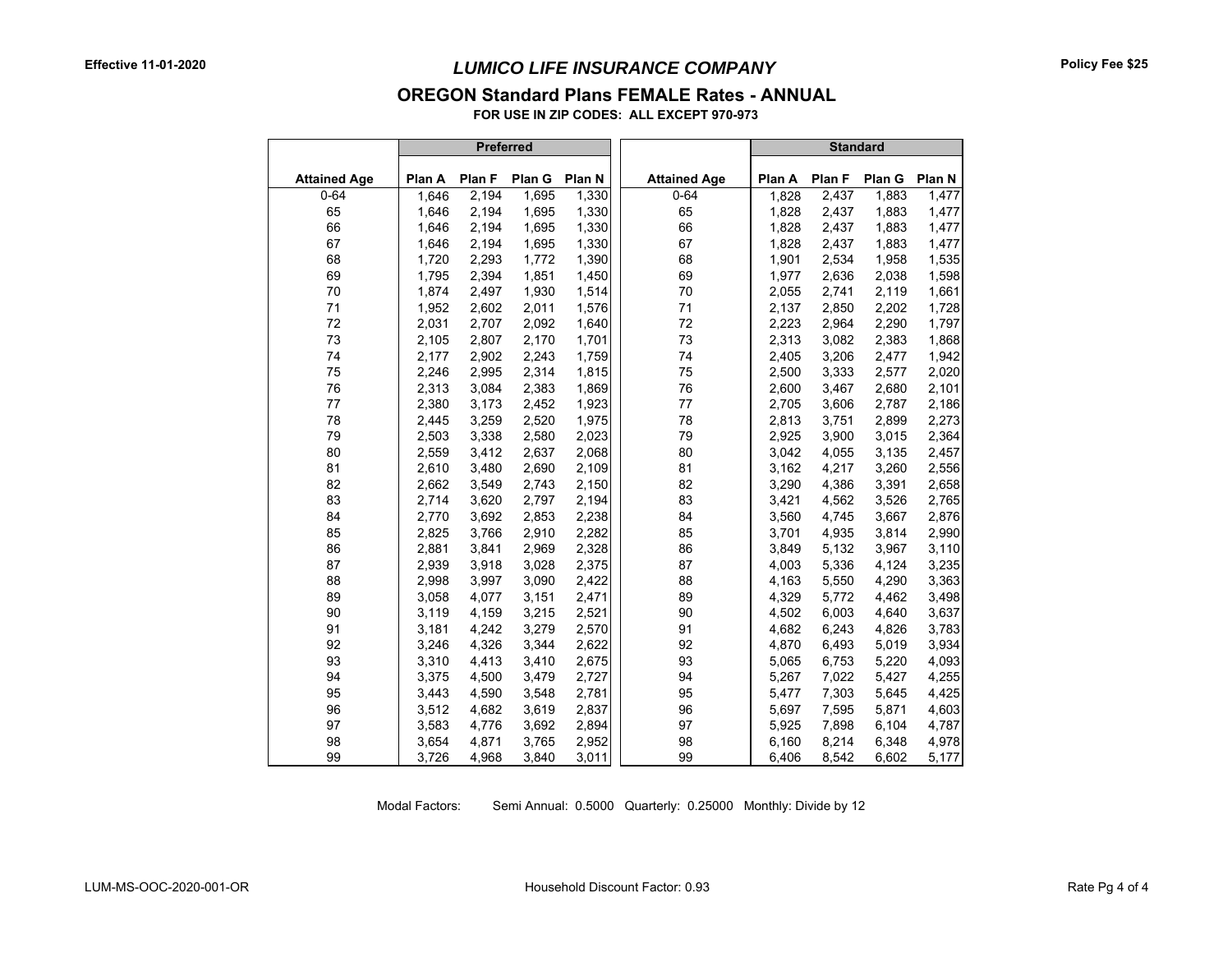#### **OREGON Standard Plans FEMALE Rates - ANNUAL**

**FOR USE IN ZIP CODES: ALL EXCEPT 970-973**

|                     |        | Preferred |        |        |                     |        | <b>Standard</b> |        |        |
|---------------------|--------|-----------|--------|--------|---------------------|--------|-----------------|--------|--------|
| <b>Attained Age</b> | Plan A | Plan F    | Plan G | Plan N | <b>Attained Age</b> | Plan A | Plan F          | Plan G | Plan N |
| $0 - 64$            | 1,646  | 2,194     | 1,695  | 1,330  | $0 - 64$            | 1,828  | 2,437           | 1,883  | 1,477  |
| 65                  | 1,646  | 2,194     | 1,695  | 1,330  | 65                  | 1,828  | 2,437           | 1,883  | 1,477  |
| 66                  | 1,646  | 2,194     | 1,695  | 1,330  | 66                  | 1,828  | 2,437           | 1,883  | 1,477  |
| 67                  | 1,646  | 2,194     | 1,695  | 1,330  | 67                  | 1,828  | 2,437           | 1,883  | 1,477  |
| 68                  | 1,720  | 2,293     | 1,772  | 1,390  | 68                  | 1,901  | 2,534           | 1,958  | 1,535  |
| 69                  | 1,795  | 2,394     | 1,851  | 1,450  | 69                  | 1,977  | 2,636           | 2,038  | 1,598  |
| 70                  | 1,874  | 2,497     | 1,930  | 1,514  | 70                  | 2,055  | 2,741           | 2,119  | 1,661  |
| 71                  | 1,952  | 2,602     | 2,011  | 1,576  | 71                  | 2,137  | 2,850           | 2,202  | 1,728  |
| 72                  | 2,031  | 2,707     | 2,092  | 1,640  | 72                  | 2,223  | 2,964           | 2,290  | 1,797  |
| 73                  | 2,105  | 2,807     | 2,170  | 1,701  | 73                  | 2,313  | 3,082           | 2,383  | 1,868  |
| 74                  | 2,177  | 2,902     | 2,243  | 1,759  | 74                  | 2,405  | 3,206           | 2,477  | 1,942  |
| 75                  | 2,246  | 2,995     | 2,314  | 1,815  | 75                  | 2,500  | 3,333           | 2,577  | 2,020  |
| 76                  | 2,313  | 3,084     | 2,383  | 1,869  | 76                  | 2,600  | 3,467           | 2,680  | 2,101  |
| 77                  | 2,380  | 3,173     | 2,452  | 1,923  | 77                  | 2,705  | 3,606           | 2,787  | 2,186  |
| 78                  | 2,445  | 3,259     | 2,520  | 1,975  | 78                  | 2,813  | 3,751           | 2,899  | 2,273  |
| 79                  | 2,503  | 3,338     | 2,580  | 2,023  | 79                  | 2,925  | 3,900           | 3,015  | 2,364  |
| 80                  | 2,559  | 3,412     | 2,637  | 2,068  | 80                  | 3,042  | 4,055           | 3,135  | 2,457  |
| 81                  | 2,610  | 3,480     | 2,690  | 2,109  | 81                  | 3,162  | 4,217           | 3,260  | 2,556  |
| 82                  | 2,662  | 3,549     | 2,743  | 2,150  | 82                  | 3,290  | 4,386           | 3,391  | 2,658  |
| 83                  | 2,714  | 3,620     | 2,797  | 2,194  | 83                  | 3,421  | 4,562           | 3,526  | 2,765  |
| 84                  | 2,770  | 3,692     | 2,853  | 2,238  | 84                  | 3,560  | 4,745           | 3,667  | 2,876  |
| 85                  | 2,825  | 3,766     | 2,910  | 2,282  | 85                  | 3,701  | 4,935           | 3,814  | 2,990  |
| 86                  | 2,881  | 3,841     | 2,969  | 2,328  | 86                  | 3,849  | 5,132           | 3,967  | 3,110  |
| 87                  | 2,939  | 3,918     | 3,028  | 2,375  | 87                  | 4,003  | 5,336           | 4,124  | 3,235  |
| 88                  | 2,998  | 3,997     | 3,090  | 2,422  | 88                  | 4,163  | 5,550           | 4,290  | 3,363  |
| 89                  | 3,058  | 4,077     | 3,151  | 2,471  | 89                  | 4,329  | 5,772           | 4,462  | 3,498  |
| 90                  | 3,119  | 4,159     | 3,215  | 2,521  | 90                  | 4,502  | 6,003           | 4,640  | 3,637  |
| 91                  | 3,181  | 4,242     | 3,279  | 2,570  | 91                  | 4,682  | 6,243           | 4,826  | 3,783  |
| 92                  | 3,246  | 4,326     | 3,344  | 2,622  | 92                  | 4,870  | 6,493           | 5,019  | 3,934  |
| 93                  | 3,310  | 4,413     | 3,410  | 2,675  | 93                  | 5,065  | 6,753           | 5,220  | 4,093  |
| 94                  | 3,375  | 4,500     | 3,479  | 2,727  | 94                  | 5,267  | 7,022           | 5,427  | 4,255  |
| 95                  | 3,443  | 4,590     | 3,548  | 2,781  | 95                  | 5,477  | 7,303           | 5,645  | 4,425  |
| 96                  | 3,512  | 4,682     | 3,619  | 2,837  | 96                  | 5,697  | 7,595           | 5,871  | 4,603  |
| 97                  | 3,583  | 4,776     | 3,692  | 2,894  | 97                  | 5,925  | 7,898           | 6,104  | 4,787  |
| 98                  | 3,654  | 4,871     | 3,765  | 2,952  | 98                  | 6,160  | 8,214           | 6,348  | 4,978  |
| 99                  | 3,726  | 4,968     | 3,840  | 3,011  | 99                  | 6,406  | 8,542           | 6,602  | 5,177  |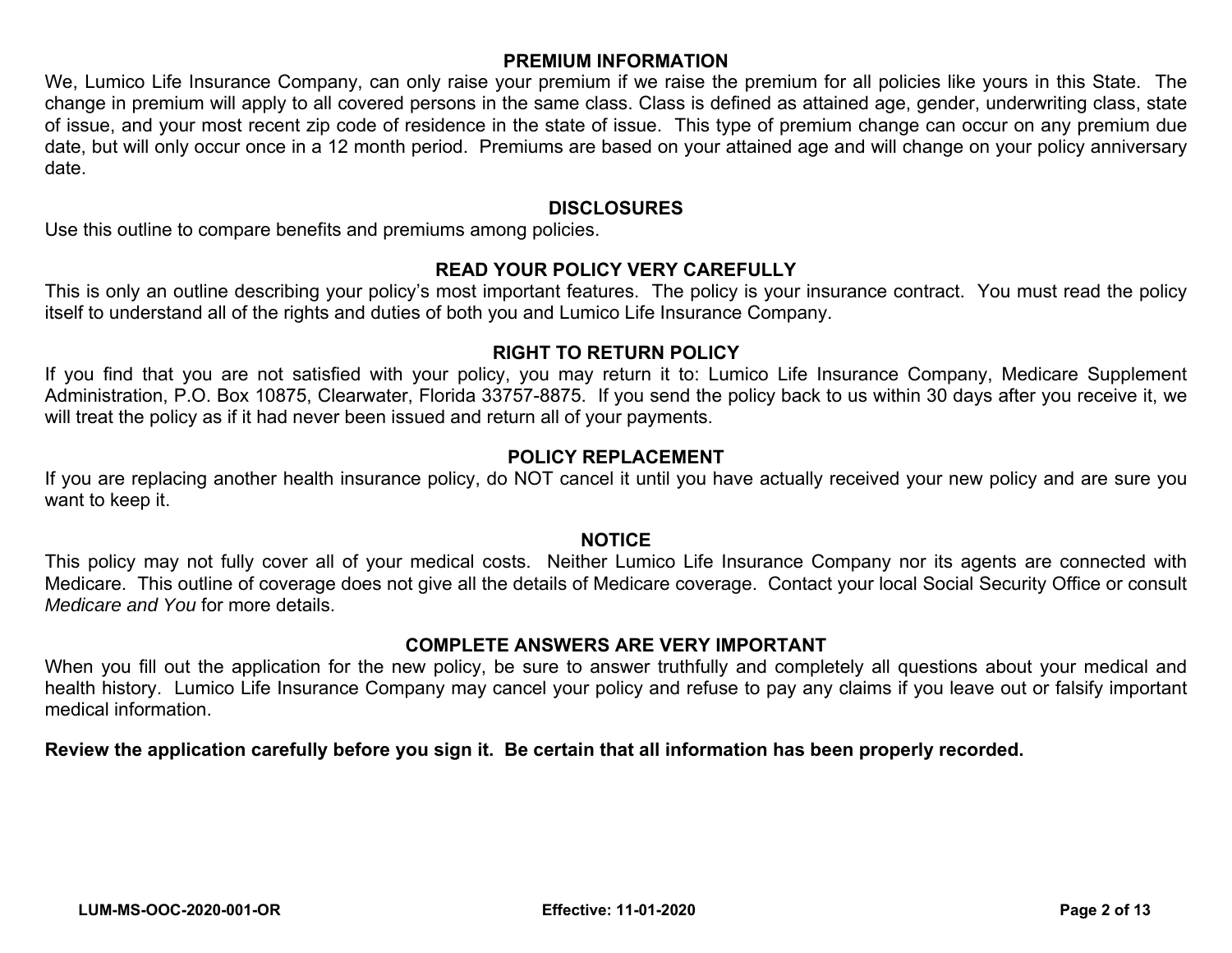## **PREMIUM INFORMATION**

We, Lumico Life Insurance Company, can only raise your premium if we raise the premium for all policies like yours in this State. The change in premium will apply to all covered persons in the same class. Class is defined as attained age, gender, underwriting class, state of issue, and your most recent zip code of residence in the state of issue. This type of premium change can occur on any premium due date, but will only occur once in a 12 month period. Premiums are based on your attained age and will change on your policy anniversary date.

#### **DISCLOSURES**

Use this outline to compare benefits and premiums among policies.

#### **READ YOUR POLICY VERY CAREFULLY**

This is only an outline describing your policy's most important features. The policy is your insurance contract. You must read the policy itself to understand all of the rights and duties of both you and Lumico Life Insurance Company.

#### **RIGHT TO RETURN POLICY**

If you find that you are not satisfied with your policy, you may return it to: Lumico Life Insurance Company, Medicare Supplement Administration, P.O. Box 10875, Clearwater, Florida 33757-8875. If you send the policy back to us within 30 days after you receive it, we will treat the policy as if it had never been issued and return all of your payments.

# **POLICY REPLACEMENT**

If you are replacing another health insurance policy, do NOT cancel it until you have actually received your new policy and are sure you want to keep it.

## **NOTICE**

This policy may not fully cover all of your medical costs. Neither Lumico Life Insurance Company nor its agents are connected with Medicare. This outline of coverage does not give all the details of Medicare coverage. Contact your local Social Security Office or consult *Medicare and You* for more details.

## **COMPLETE ANSWERS ARE VERY IMPORTANT**

When you fill out the application for the new policy, be sure to answer truthfully and completely all questions about your medical and health history. Lumico Life Insurance Company may cancel your policy and refuse to pay any claims if you leave out or falsify important medical information.

## **Review the application carefully before you sign it. Be certain that all information has been properly recorded.**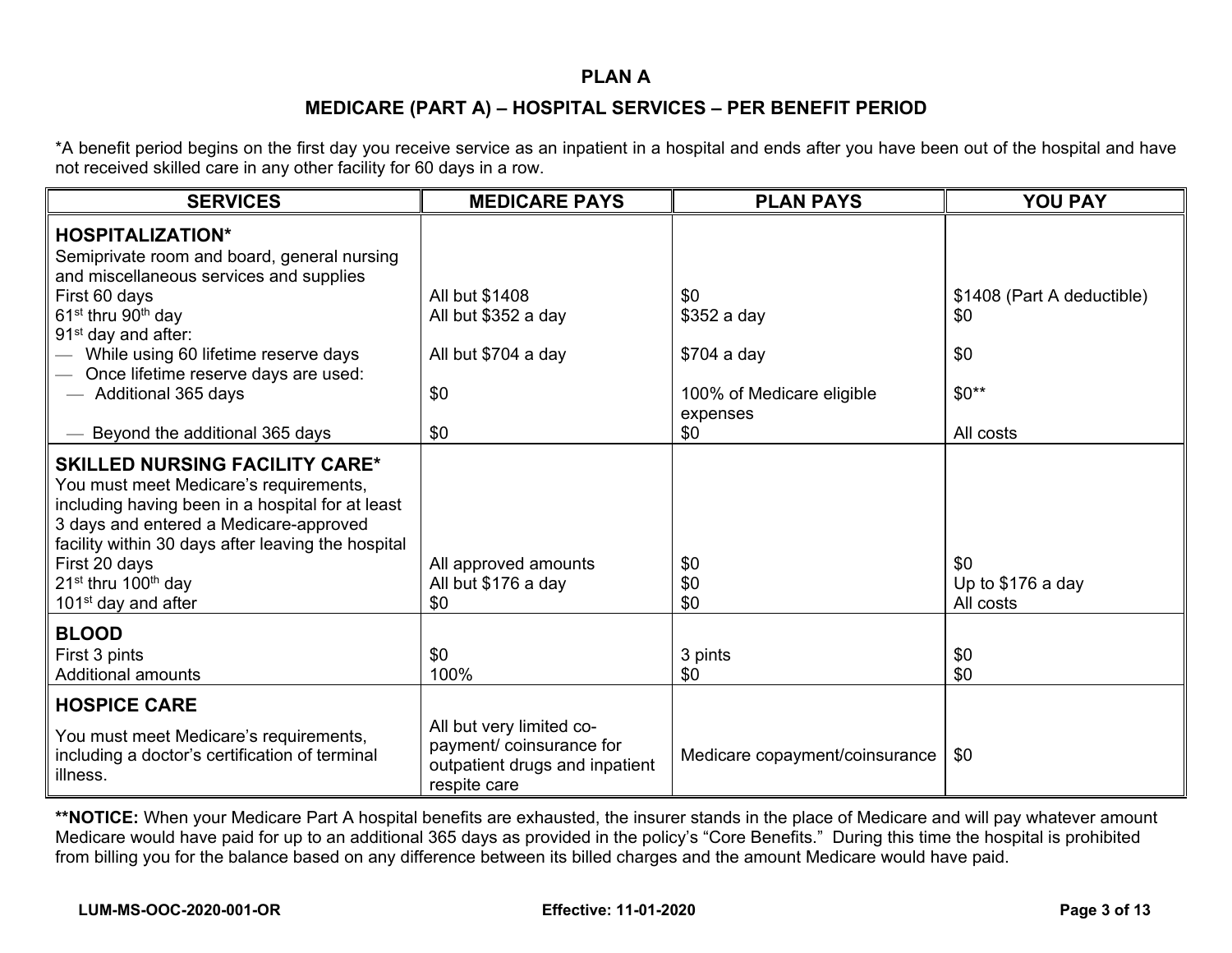#### **PLAN A**

### **MEDICARE (PART A) – HOSPITAL SERVICES – PER BENEFIT PERIOD**

\*A benefit period begins on the first day you receive service as an inpatient in a hospital and ends after you have been out of the hospital and have not received skilled care in any other facility for 60 days in a row.

| <b>SERVICES</b>                                                                                                                                                                                                                                                                                                                        | <b>MEDICARE PAYS</b>                                                                                   | <b>PLAN PAYS</b>                      | <b>YOU PAY</b>                        |
|----------------------------------------------------------------------------------------------------------------------------------------------------------------------------------------------------------------------------------------------------------------------------------------------------------------------------------------|--------------------------------------------------------------------------------------------------------|---------------------------------------|---------------------------------------|
| <b>HOSPITALIZATION*</b><br>Semiprivate room and board, general nursing<br>and miscellaneous services and supplies                                                                                                                                                                                                                      |                                                                                                        |                                       |                                       |
| First 60 days<br>61 <sup>st</sup> thru 90 <sup>th</sup> day<br>91 <sup>st</sup> day and after:                                                                                                                                                                                                                                         | All but \$1408<br>All but \$352 a day                                                                  | \$0<br>\$352 a day                    | \$1408 (Part A deductible)<br>\$0     |
| While using 60 lifetime reserve days<br>Once lifetime reserve days are used:                                                                                                                                                                                                                                                           | All but \$704 a day                                                                                    | \$704 a day                           | \$0                                   |
| Additional 365 days                                                                                                                                                                                                                                                                                                                    | \$0                                                                                                    | 100% of Medicare eligible<br>expenses | $$0**$                                |
| Beyond the additional 365 days                                                                                                                                                                                                                                                                                                         | \$0                                                                                                    | \$0                                   | All costs                             |
| <b>SKILLED NURSING FACILITY CARE*</b><br>You must meet Medicare's requirements,<br>including having been in a hospital for at least<br>3 days and entered a Medicare-approved<br>facility within 30 days after leaving the hospital<br>First 20 days<br>21 <sup>st</sup> thru 100 <sup>th</sup> day<br>101 <sup>st</sup> day and after | All approved amounts<br>All but \$176 a day<br>\$0                                                     | \$0<br>\$0<br>\$0                     | \$0<br>Up to \$176 a day<br>All costs |
| <b>BLOOD</b><br>First 3 pints<br><b>Additional amounts</b>                                                                                                                                                                                                                                                                             | \$0<br>100%                                                                                            | 3 pints<br>\$0                        | \$0<br>\$0                            |
| <b>HOSPICE CARE</b>                                                                                                                                                                                                                                                                                                                    |                                                                                                        |                                       |                                       |
| You must meet Medicare's requirements,<br>including a doctor's certification of terminal<br>illness.                                                                                                                                                                                                                                   | All but very limited co-<br>payment/ coinsurance for<br>outpatient drugs and inpatient<br>respite care | Medicare copayment/coinsurance        | \$0                                   |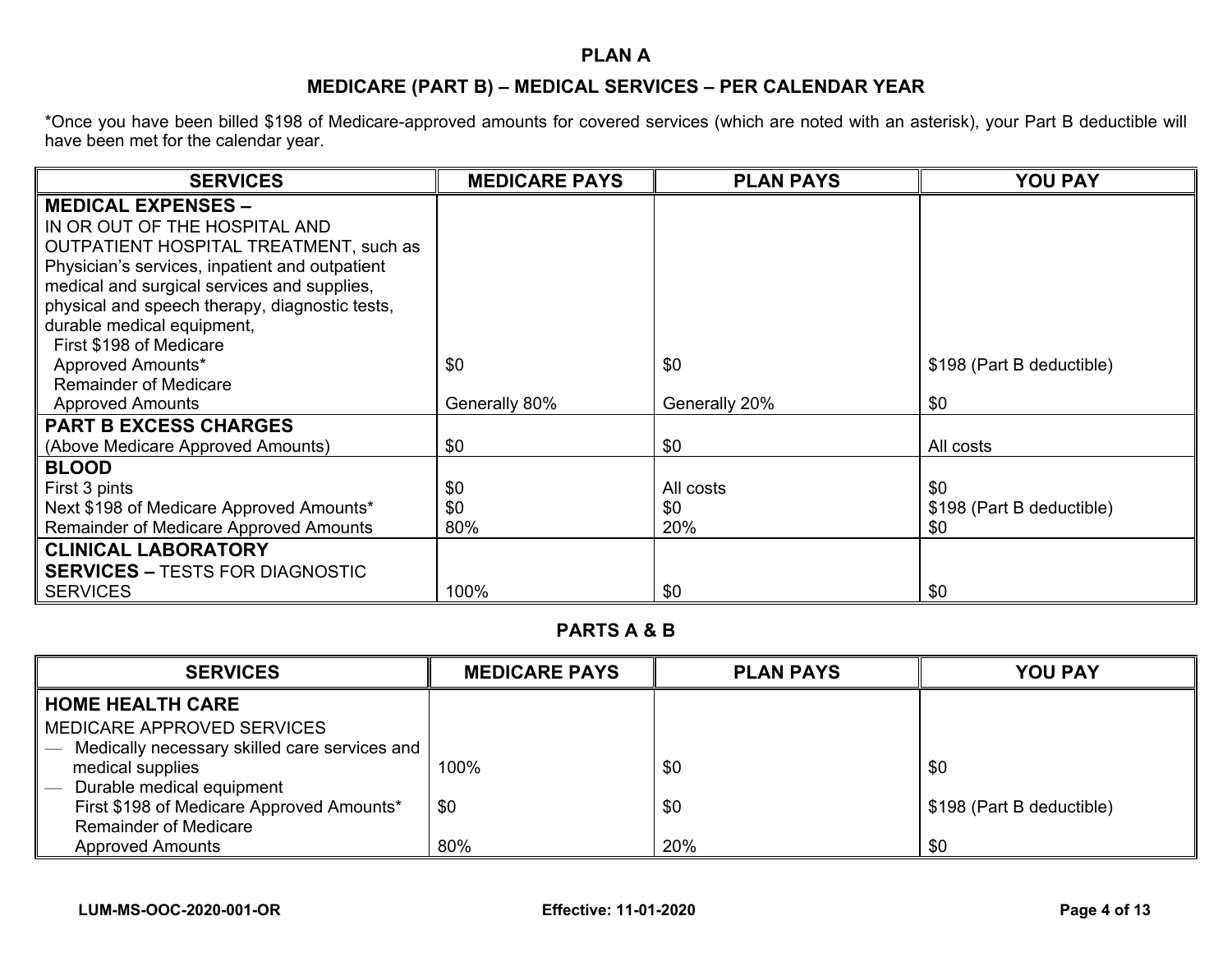## **PLAN A**

# **MEDICARE (PART B) – MEDICAL SERVICES – PER CALENDAR YEAR**

\*Once you have been billed \$198 of Medicare-approved amounts for covered services (which are noted with an asterisk), your Part B deductible will have been met for the calendar year.

| <b>SERVICES</b>                                | <b>MEDICARE PAYS</b> | <b>PLAN PAYS</b> | <b>YOU PAY</b>            |
|------------------------------------------------|----------------------|------------------|---------------------------|
| <b>MEDICAL EXPENSES -</b>                      |                      |                  |                           |
| IN OR OUT OF THE HOSPITAL AND                  |                      |                  |                           |
| <b>OUTPATIENT HOSPITAL TREATMENT, such as</b>  |                      |                  |                           |
| Physician's services, inpatient and outpatient |                      |                  |                           |
| medical and surgical services and supplies,    |                      |                  |                           |
| physical and speech therapy, diagnostic tests, |                      |                  |                           |
| durable medical equipment,                     |                      |                  |                           |
| First \$198 of Medicare                        |                      |                  |                           |
| Approved Amounts*                              | \$0                  | \$0              | \$198 (Part B deductible) |
| <b>Remainder of Medicare</b>                   |                      |                  |                           |
| <b>Approved Amounts</b>                        | Generally 80%        | Generally 20%    | \$0                       |
| <b>PART B EXCESS CHARGES</b>                   |                      |                  |                           |
| (Above Medicare Approved Amounts)              | \$0                  | \$0              | All costs                 |
| <b>BLOOD</b>                                   |                      |                  |                           |
| First 3 pints                                  | \$0                  | All costs        | \$0                       |
| Next \$198 of Medicare Approved Amounts*       | \$0                  | \$0              | \$198 (Part B deductible) |
| <b>Remainder of Medicare Approved Amounts</b>  | 80%                  | 20%              | \$0                       |
| <b>CLINICAL LABORATORY</b>                     |                      |                  |                           |
| <b>SERVICES – TESTS FOR DIAGNOSTIC</b>         |                      |                  |                           |
| <b>SERVICES</b>                                | 100%                 | \$0              | \$0                       |

## **PARTS A & B**

| <b>SERVICES</b>                               | <b>MEDICARE PAYS</b> | <b>PLAN PAYS</b> | <b>YOU PAY</b>            |
|-----------------------------------------------|----------------------|------------------|---------------------------|
| <b>HOME HEALTH CARE</b>                       |                      |                  |                           |
| MEDICARE APPROVED SERVICES                    |                      |                  |                           |
| Medically necessary skilled care services and |                      |                  |                           |
| medical supplies                              | 100%                 | \$0              | \$0                       |
| Durable medical equipment                     |                      |                  |                           |
| First \$198 of Medicare Approved Amounts*     | \$0                  | \$0              | \$198 (Part B deductible) |
| <b>Remainder of Medicare</b>                  |                      |                  |                           |
| <b>Approved Amounts</b>                       | 80%                  | 20%              | \$0                       |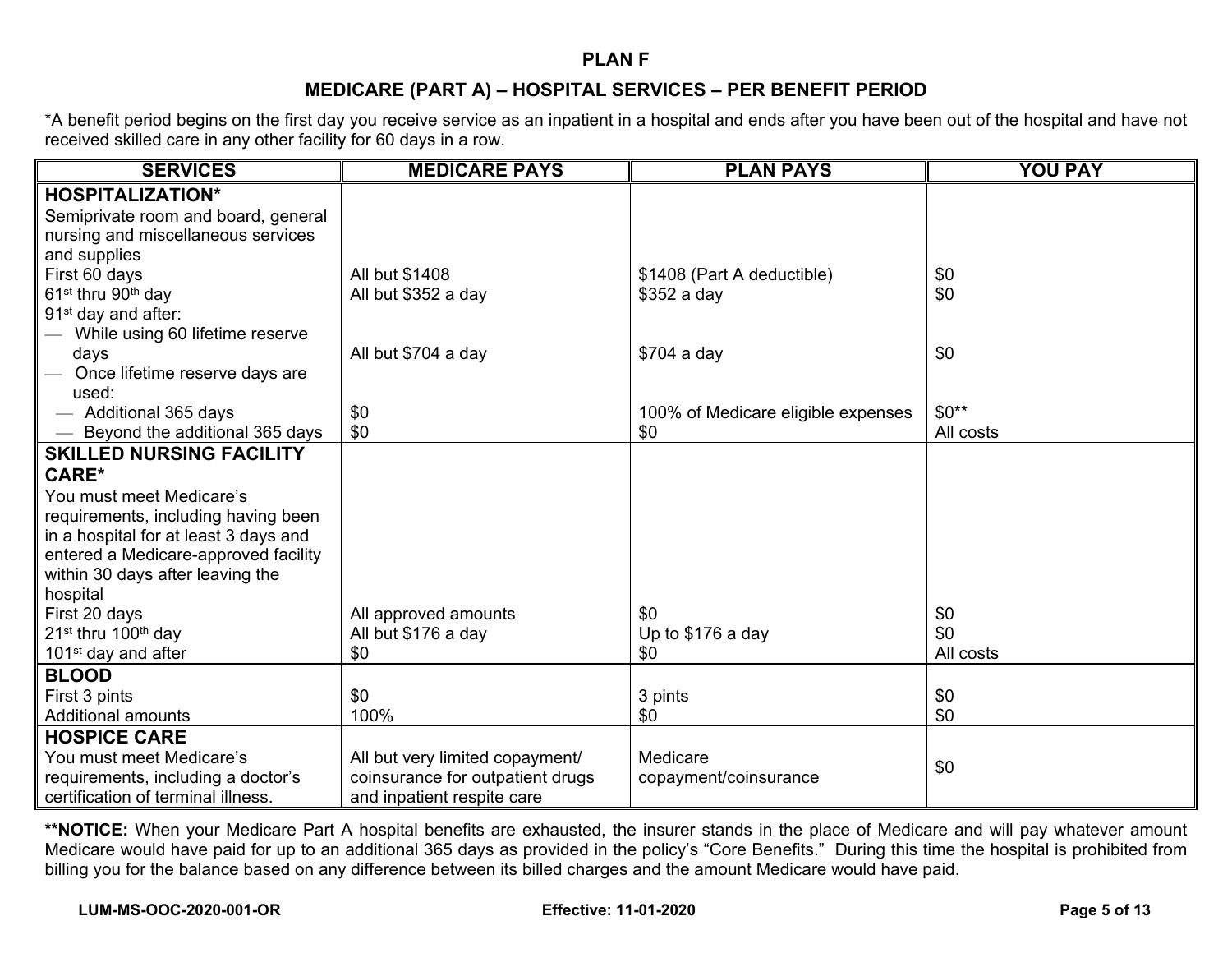#### **PLAN F**

## **MEDICARE (PART A) – HOSPITAL SERVICES – PER BENEFIT PERIOD**

\*A benefit period begins on the first day you receive service as an inpatient in a hospital and ends after you have been out of the hospital and have not received skilled care in any other facility for 60 days in a row.

| <b>SERVICES</b>                             | <b>MEDICARE PAYS</b>             | <b>PLAN PAYS</b>                   | <b>YOU PAY</b> |
|---------------------------------------------|----------------------------------|------------------------------------|----------------|
| <b>HOSPITALIZATION*</b>                     |                                  |                                    |                |
| Semiprivate room and board, general         |                                  |                                    |                |
| nursing and miscellaneous services          |                                  |                                    |                |
| and supplies                                |                                  |                                    |                |
| First 60 days                               | All but \$1408                   | \$1408 (Part A deductible)         | \$0            |
| 61 <sup>st</sup> thru 90 <sup>th</sup> day  | All but \$352 a day              | \$352 a day                        | \$0            |
| 91 <sup>st</sup> day and after:             |                                  |                                    |                |
| While using 60 lifetime reserve             |                                  |                                    |                |
| days                                        | All but \$704 a day              | \$704 a day                        | \$0            |
| Once lifetime reserve days are              |                                  |                                    |                |
| used:                                       |                                  |                                    |                |
| Additional 365 days                         | \$0                              | 100% of Medicare eligible expenses | $$0**$         |
| Beyond the additional 365 days              | \$0                              | \$0                                | All costs      |
| <b>SKILLED NURSING FACILITY</b>             |                                  |                                    |                |
| CARE*                                       |                                  |                                    |                |
| You must meet Medicare's                    |                                  |                                    |                |
| requirements, including having been         |                                  |                                    |                |
| in a hospital for at least 3 days and       |                                  |                                    |                |
| entered a Medicare-approved facility        |                                  |                                    |                |
| within 30 days after leaving the            |                                  |                                    |                |
| hospital                                    |                                  |                                    |                |
| First 20 days                               | All approved amounts             | \$0                                | \$0            |
| 21 <sup>st</sup> thru 100 <sup>th</sup> day | All but \$176 a day              | Up to \$176 a day                  | \$0            |
| 101 $st$ day and after                      | \$0                              | \$0                                | All costs      |
| <b>BLOOD</b>                                |                                  |                                    |                |
| First 3 pints                               | \$0                              | 3 pints                            | \$0            |
| <b>Additional amounts</b>                   | 100%                             | \$0                                | \$0            |
| <b>HOSPICE CARE</b>                         |                                  |                                    |                |
| You must meet Medicare's                    | All but very limited copayment/  | Medicare                           |                |
| requirements, including a doctor's          | coinsurance for outpatient drugs | copayment/coinsurance              | \$0            |
| certification of terminal illness.          | and inpatient respite care       |                                    |                |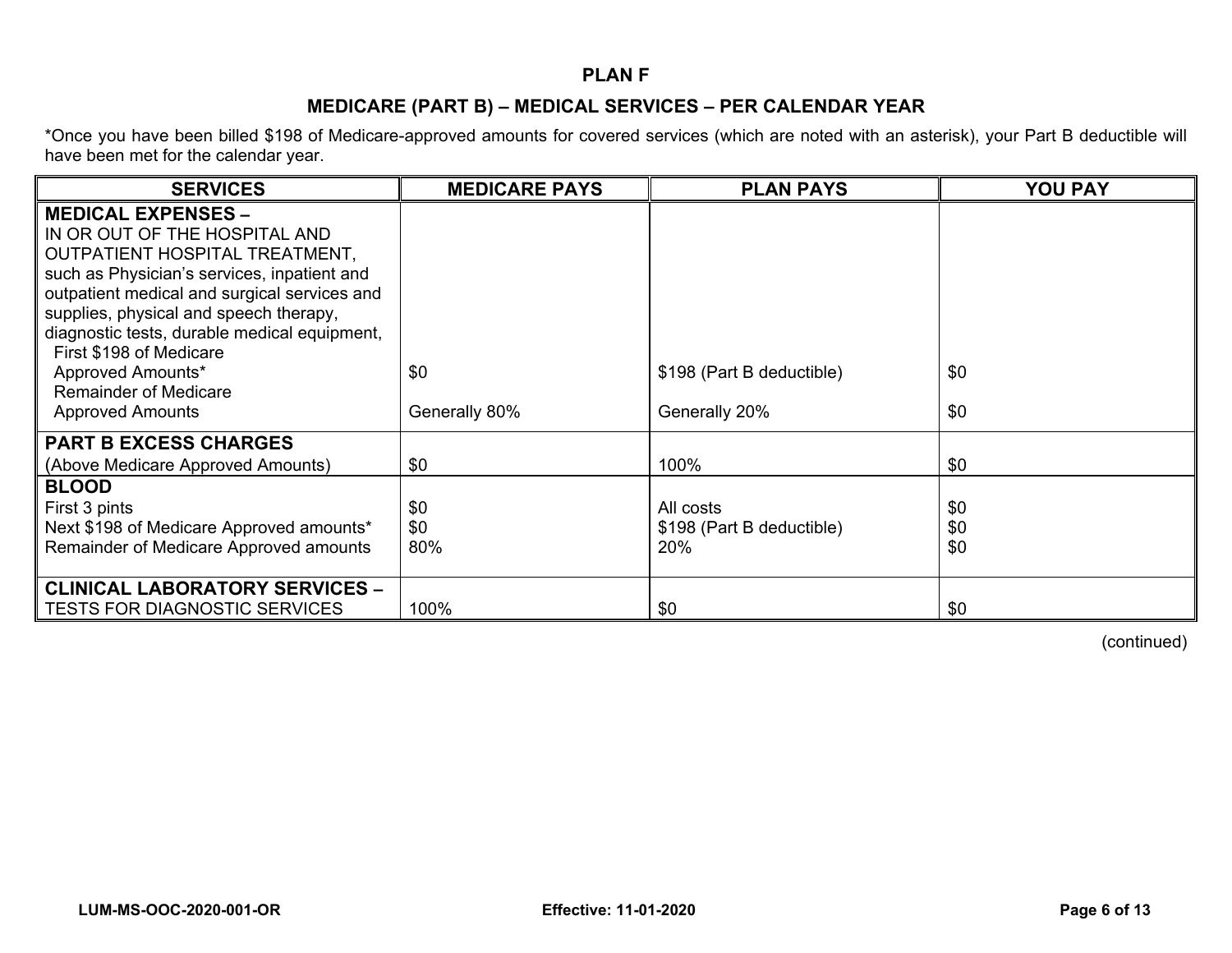## **PLAN F**

# **MEDICARE (PART B) – MEDICAL SERVICES – PER CALENDAR YEAR**

\*Once you have been billed \$198 of Medicare-approved amounts for covered services (which are noted with an asterisk), your Part B deductible will have been met for the calendar year.

| <b>SERVICES</b>                                                                                                                                                                                                                                                                                                                                                                                  | <b>MEDICARE PAYS</b> | <b>PLAN PAYS</b>                              | <b>YOU PAY</b>    |
|--------------------------------------------------------------------------------------------------------------------------------------------------------------------------------------------------------------------------------------------------------------------------------------------------------------------------------------------------------------------------------------------------|----------------------|-----------------------------------------------|-------------------|
| <b>MEDICAL EXPENSES -</b><br>IN OR OUT OF THE HOSPITAL AND<br>OUTPATIENT HOSPITAL TREATMENT,<br>such as Physician's services, inpatient and<br>outpatient medical and surgical services and<br>supplies, physical and speech therapy,<br>diagnostic tests, durable medical equipment,<br>First \$198 of Medicare<br>Approved Amounts*<br><b>Remainder of Medicare</b><br><b>Approved Amounts</b> | \$0<br>Generally 80% | \$198 (Part B deductible)<br>Generally 20%    | \$0<br>\$0        |
| <b>PART B EXCESS CHARGES</b><br>(Above Medicare Approved Amounts)                                                                                                                                                                                                                                                                                                                                | \$0                  | 100%                                          | \$0               |
| <b>BLOOD</b><br>First 3 pints<br>Next \$198 of Medicare Approved amounts*<br>Remainder of Medicare Approved amounts                                                                                                                                                                                                                                                                              | \$0<br>\$0<br>80%    | All costs<br>\$198 (Part B deductible)<br>20% | \$0<br>\$0<br>\$0 |
| <b>CLINICAL LABORATORY SERVICES -</b><br><b>TESTS FOR DIAGNOSTIC SERVICES</b>                                                                                                                                                                                                                                                                                                                    | 100%                 | \$0                                           | \$0               |

(continued)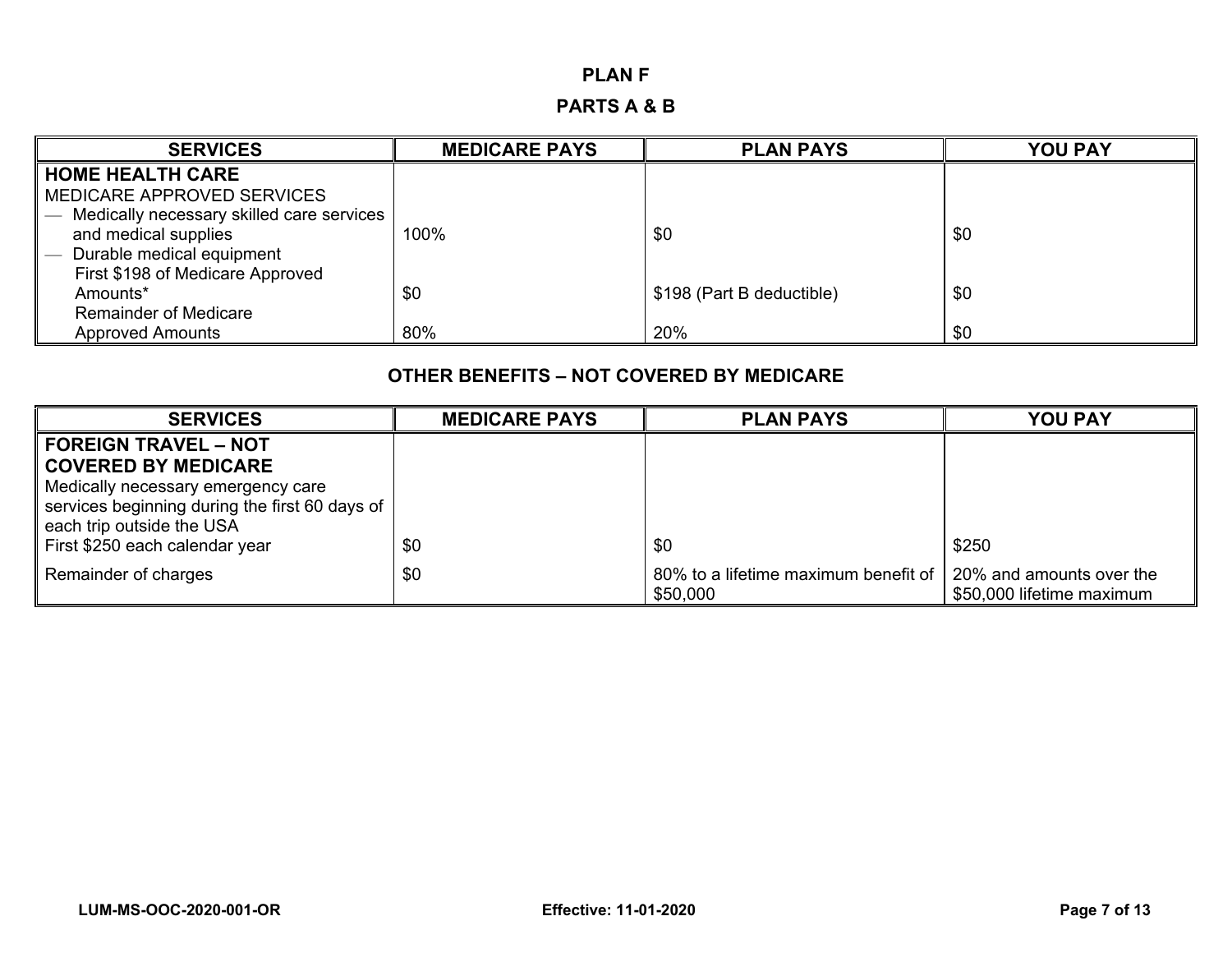#### **PLAN F**

# **PARTS A & B**

| <b>SERVICES</b>                           | <b>MEDICARE PAYS</b> | <b>PLAN PAYS</b>          | <b>YOU PAY</b> |
|-------------------------------------------|----------------------|---------------------------|----------------|
| <b>HOME HEALTH CARE</b>                   |                      |                           |                |
| MEDICARE APPROVED SERVICES                |                      |                           |                |
| Medically necessary skilled care services |                      |                           |                |
| and medical supplies                      | 100%                 | \$0                       | \$0            |
| Durable medical equipment                 |                      |                           |                |
| First \$198 of Medicare Approved          |                      |                           |                |
| Amounts*                                  | \$0                  | \$198 (Part B deductible) | \$0            |
| <b>Remainder of Medicare</b>              |                      |                           |                |
| <b>Approved Amounts</b>                   | 80%                  | 20%                       | \$0            |

#### **OTHER BENEFITS – NOT COVERED BY MEDICARE**

| <b>SERVICES</b>                                | <b>MEDICARE PAYS</b> | <b>PLAN PAYS</b>                                 | <b>YOU PAY</b>                                        |
|------------------------------------------------|----------------------|--------------------------------------------------|-------------------------------------------------------|
| <b>FOREIGN TRAVEL - NOT</b>                    |                      |                                                  |                                                       |
| <b>COVERED BY MEDICARE</b>                     |                      |                                                  |                                                       |
| Medically necessary emergency care             |                      |                                                  |                                                       |
| services beginning during the first 60 days of |                      |                                                  |                                                       |
| each trip outside the USA                      |                      |                                                  |                                                       |
| First \$250 each calendar year                 | \$0                  | \$0                                              | \$250                                                 |
| Remainder of charges                           | \$0                  | 80% to a lifetime maximum benefit of<br>\$50,000 | 20% and amounts over the<br>\$50,000 lifetime maximum |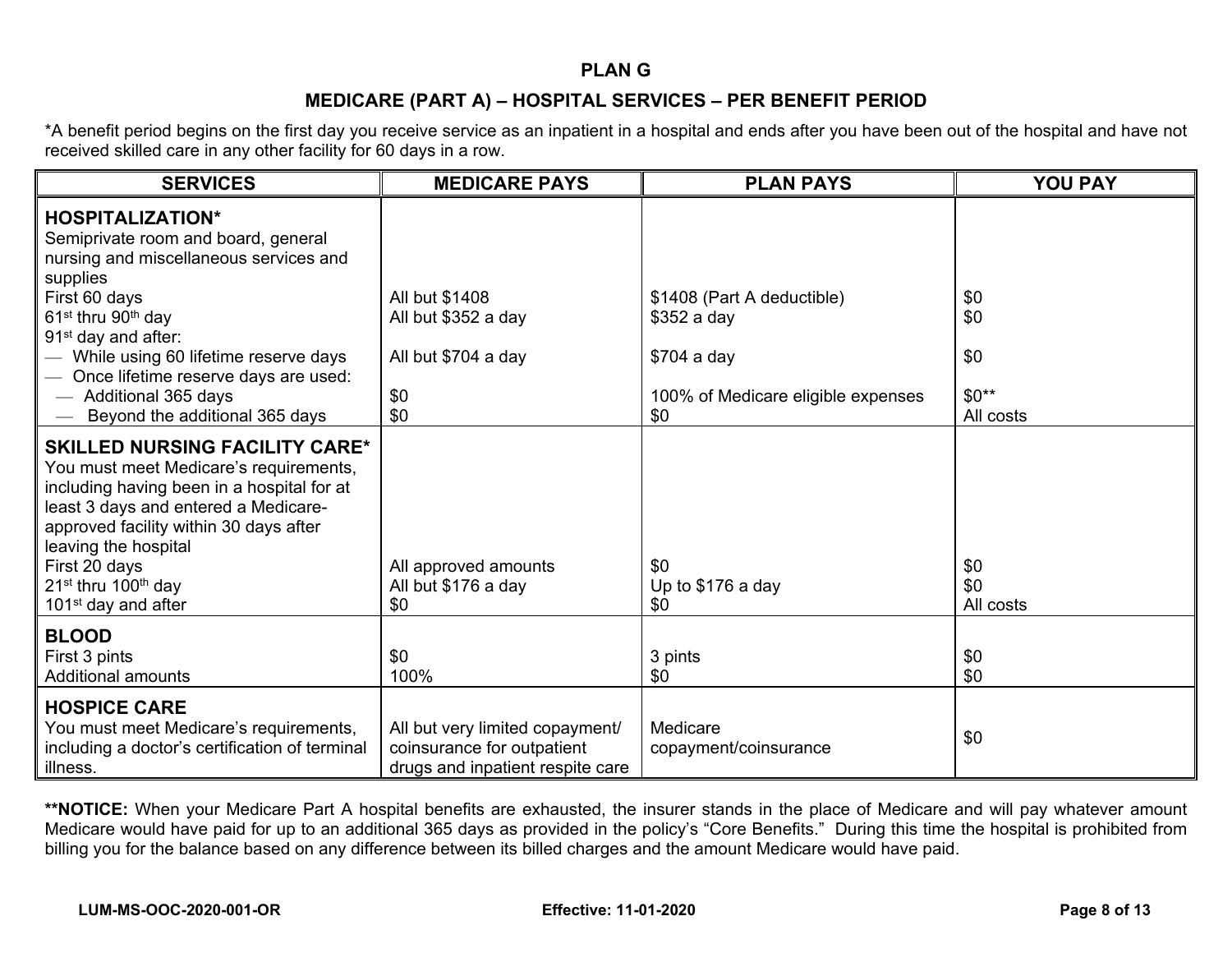#### **PLAN G**

# **MEDICARE (PART A) – HOSPITAL SERVICES – PER BENEFIT PERIOD**

\*A benefit period begins on the first day you receive service as an inpatient in a hospital and ends after you have been out of the hospital and have not received skilled care in any other facility for 60 days in a row.

| <b>SERVICES</b>                                                                                                                                                                                                                                                                                                        | <b>MEDICARE PAYS</b>                                                                              | <b>PLAN PAYS</b>                          | <b>YOU PAY</b>          |
|------------------------------------------------------------------------------------------------------------------------------------------------------------------------------------------------------------------------------------------------------------------------------------------------------------------------|---------------------------------------------------------------------------------------------------|-------------------------------------------|-------------------------|
| <b>HOSPITALIZATION*</b><br>Semiprivate room and board, general<br>nursing and miscellaneous services and<br>supplies<br>First 60 days                                                                                                                                                                                  | All but \$1408                                                                                    | \$1408 (Part A deductible)                | \$0                     |
| 61 <sup>st</sup> thru 90 <sup>th</sup> day<br>91 <sup>st</sup> day and after:                                                                                                                                                                                                                                          | All but \$352 a day                                                                               | \$352 a day                               | \$0                     |
| While using 60 lifetime reserve days<br>Once lifetime reserve days are used:                                                                                                                                                                                                                                           | All but \$704 a day                                                                               | $$704$ a day                              | \$0                     |
| - Additional 365 days<br>Beyond the additional 365 days                                                                                                                                                                                                                                                                | \$0<br>\$0                                                                                        | 100% of Medicare eligible expenses<br>\$0 | $$0**$<br>All costs     |
| <b>SKILLED NURSING FACILITY CARE*</b><br>You must meet Medicare's requirements,<br>including having been in a hospital for at<br>least 3 days and entered a Medicare-<br>approved facility within 30 days after<br>leaving the hospital<br>First 20 days<br>$21st$ thru 100 <sup>th</sup> day<br>$101st$ day and after | All approved amounts<br>All but \$176 a day<br>\$0                                                | \$0<br>Up to \$176 a day<br>\$0           | \$0<br>\$0<br>All costs |
| <b>BLOOD</b><br>First 3 pints<br><b>Additional amounts</b>                                                                                                                                                                                                                                                             | \$0<br>100%                                                                                       | 3 pints<br>\$0                            | \$0<br>\$0              |
| <b>HOSPICE CARE</b><br>You must meet Medicare's requirements,<br>including a doctor's certification of terminal<br>illness.                                                                                                                                                                                            | All but very limited copayment/<br>coinsurance for outpatient<br>drugs and inpatient respite care | Medicare<br>copayment/coinsurance         | \$0                     |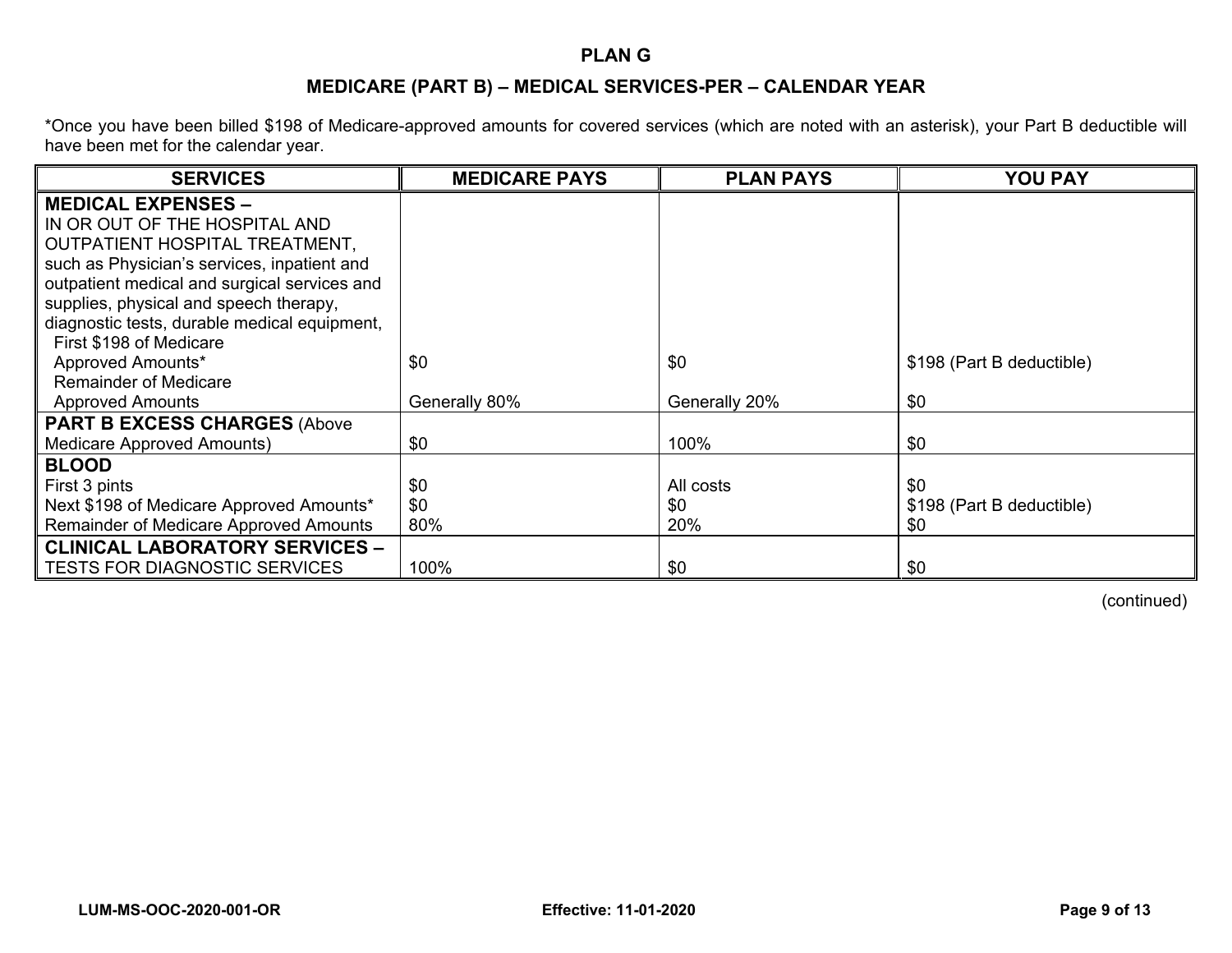### **PLAN G**

# **MEDICARE (PART B) – MEDICAL SERVICES-PER – CALENDAR YEAR**

\*Once you have been billed \$198 of Medicare-approved amounts for covered services (which are noted with an asterisk), your Part B deductible will have been met for the calendar year.

| <b>SERVICES</b>                              | <b>MEDICARE PAYS</b> | <b>PLAN PAYS</b> | <b>YOU PAY</b>            |
|----------------------------------------------|----------------------|------------------|---------------------------|
| <b>MEDICAL EXPENSES -</b>                    |                      |                  |                           |
| IN OR OUT OF THE HOSPITAL AND                |                      |                  |                           |
| <b>OUTPATIENT HOSPITAL TREATMENT,</b>        |                      |                  |                           |
| such as Physician's services, inpatient and  |                      |                  |                           |
| outpatient medical and surgical services and |                      |                  |                           |
| supplies, physical and speech therapy,       |                      |                  |                           |
| diagnostic tests, durable medical equipment, |                      |                  |                           |
| First \$198 of Medicare                      |                      |                  |                           |
| Approved Amounts*                            | \$0                  | \$0              | \$198 (Part B deductible) |
| <b>Remainder of Medicare</b>                 |                      |                  |                           |
| <b>Approved Amounts</b>                      | Generally 80%        | Generally 20%    | \$0                       |
| <b>PART B EXCESS CHARGES (Above</b>          |                      |                  |                           |
| <b>Medicare Approved Amounts)</b>            | \$0                  | 100%             | \$0                       |
| <b>BLOOD</b>                                 |                      |                  |                           |
| First 3 pints                                | \$0                  | All costs        | \$0                       |
| Next \$198 of Medicare Approved Amounts*     | \$0                  | \$0              | \$198 (Part B deductible) |
| Remainder of Medicare Approved Amounts       | 80%                  | 20%              | \$0                       |
| <b>CLINICAL LABORATORY SERVICES -</b>        |                      |                  |                           |
| <b>TESTS FOR DIAGNOSTIC SERVICES</b>         | 100%                 | \$0              | \$0                       |

(continued)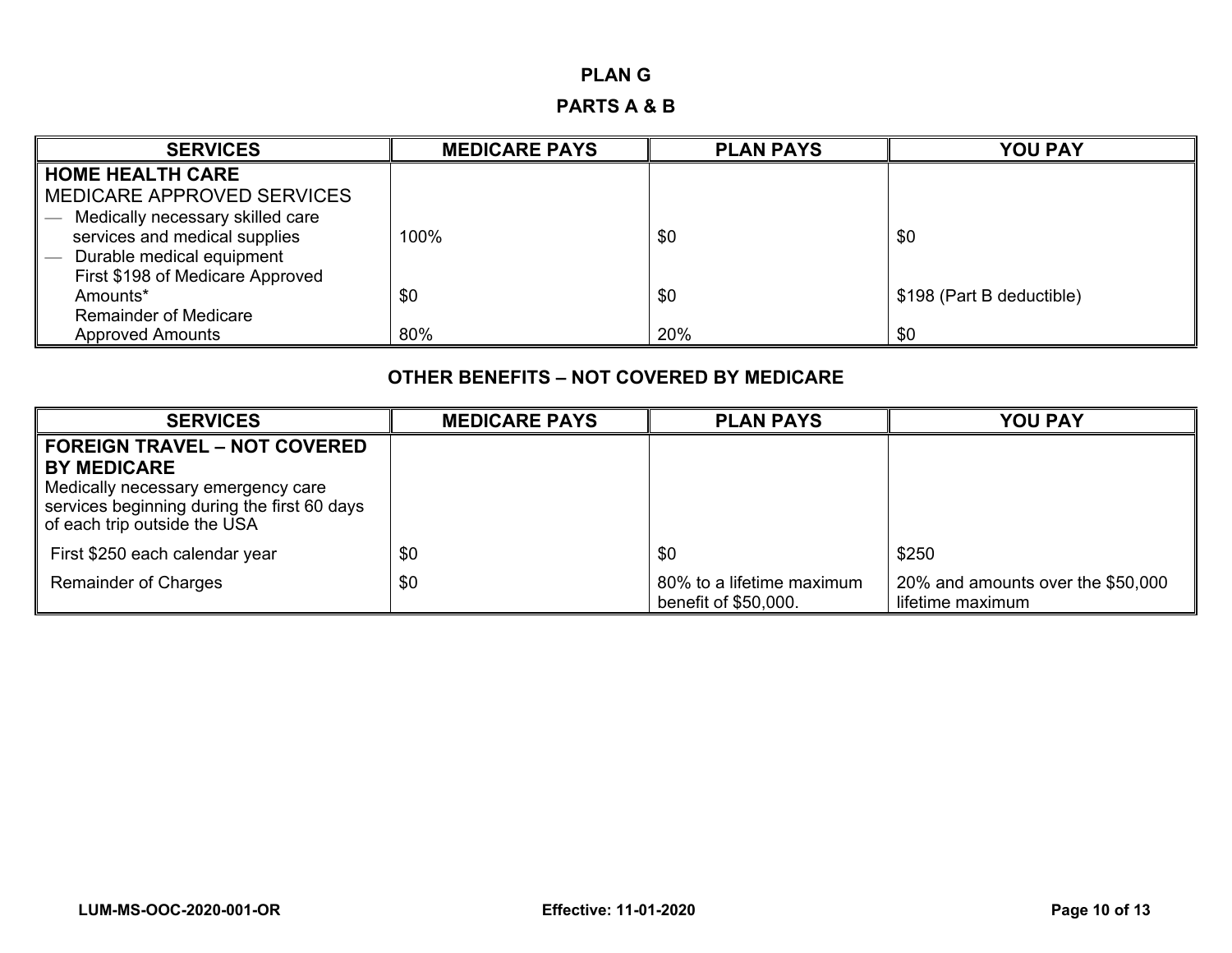#### **PLAN G**

#### **PARTS A & B**

| <b>SERVICES</b>                  | <b>MEDICARE PAYS</b> | <b>PLAN PAYS</b> | <b>YOU PAY</b>            |
|----------------------------------|----------------------|------------------|---------------------------|
| <b>HOME HEALTH CARE</b>          |                      |                  |                           |
| MEDICARE APPROVED SERVICES       |                      |                  |                           |
| Medically necessary skilled care |                      |                  |                           |
| services and medical supplies    | 100%                 | \$0              | \$0                       |
| Durable medical equipment        |                      |                  |                           |
| First \$198 of Medicare Approved |                      |                  |                           |
| Amounts*                         | \$0                  | \$0              | \$198 (Part B deductible) |
| <b>Remainder of Medicare</b>     |                      |                  |                           |
| <b>Approved Amounts</b>          | 80%                  | 20%              | \$0                       |

## **OTHER BENEFITS – NOT COVERED BY MEDICARE**

| <b>SERVICES</b>                                                                                                                         | <b>MEDICARE PAYS</b> | <b>PLAN PAYS</b>                                  | <b>YOU PAY</b>                                        |
|-----------------------------------------------------------------------------------------------------------------------------------------|----------------------|---------------------------------------------------|-------------------------------------------------------|
| <b>FOREIGN TRAVEL - NOT COVERED</b>                                                                                                     |                      |                                                   |                                                       |
| <b>BY MEDICARE</b><br>Medically necessary emergency care<br>services beginning during the first 60 days<br>of each trip outside the USA |                      |                                                   |                                                       |
| First \$250 each calendar year                                                                                                          | \$0                  | \$0                                               | \$250                                                 |
| <b>Remainder of Charges</b>                                                                                                             | \$0                  | 80% to a lifetime maximum<br>benefit of \$50,000. | 20% and amounts over the \$50,000<br>lifetime maximum |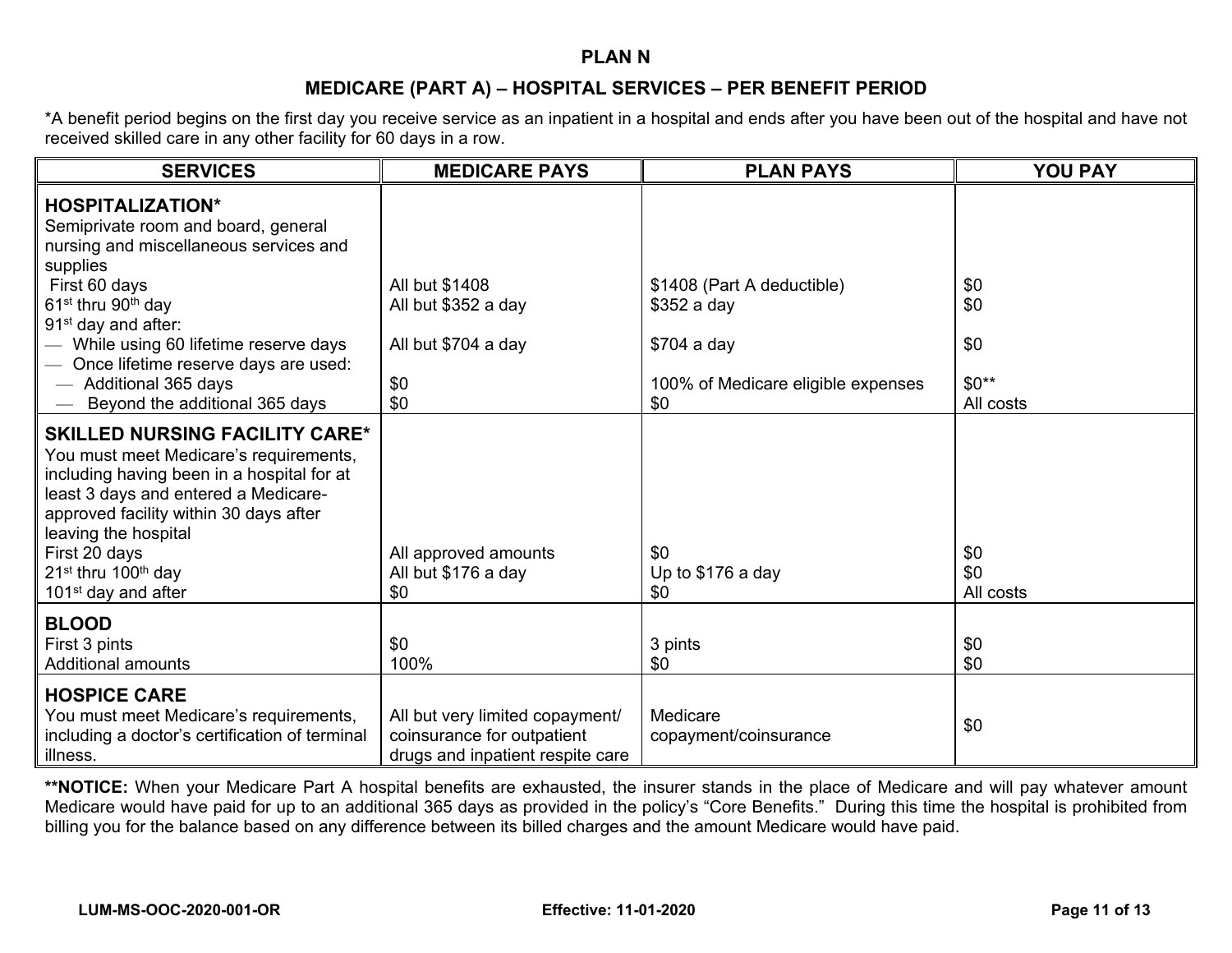#### **PLAN N**

# **MEDICARE (PART A) – HOSPITAL SERVICES – PER BENEFIT PERIOD**

\*A benefit period begins on the first day you receive service as an inpatient in a hospital and ends after you have been out of the hospital and have not received skilled care in any other facility for 60 days in a row.

| <b>SERVICES</b>                                                                                                                                                                                                                                                                                                                                                   | <b>MEDICARE PAYS</b>                                                                              | <b>PLAN PAYS</b>                                                                                      | <b>YOU PAY</b>                           |
|-------------------------------------------------------------------------------------------------------------------------------------------------------------------------------------------------------------------------------------------------------------------------------------------------------------------------------------------------------------------|---------------------------------------------------------------------------------------------------|-------------------------------------------------------------------------------------------------------|------------------------------------------|
| <b>HOSPITALIZATION*</b><br>Semiprivate room and board, general<br>nursing and miscellaneous services and<br>supplies<br>First 60 days<br>61 <sup>st</sup> thru 90 <sup>th</sup> day<br>91 <sup>st</sup> day and after:<br>While using 60 lifetime reserve days<br>Once lifetime reserve days are used:<br>- Additional 365 days<br>Beyond the additional 365 days | All but \$1408<br>All but \$352 a day<br>All but \$704 a day<br>\$0<br>\$0                        | \$1408 (Part A deductible)<br>\$352 a day<br>\$704 a day<br>100% of Medicare eligible expenses<br>\$0 | \$0<br>\$0<br>\$0<br>$$0**$<br>All costs |
| <b>SKILLED NURSING FACILITY CARE*</b><br>You must meet Medicare's requirements,<br>including having been in a hospital for at<br>least 3 days and entered a Medicare-<br>approved facility within 30 days after<br>leaving the hospital<br>First 20 days<br>21 <sup>st</sup> thru 100 <sup>th</sup> day<br>101 <sup>st</sup> day and after                        | All approved amounts<br>All but \$176 a day<br>\$0                                                | \$0<br>Up to \$176 a day<br>\$0                                                                       | \$0<br>\$0<br>All costs                  |
| <b>BLOOD</b><br>First 3 pints<br><b>Additional amounts</b>                                                                                                                                                                                                                                                                                                        | \$0<br>100%                                                                                       | 3 pints<br>\$0                                                                                        | \$0<br>\$0                               |
| <b>HOSPICE CARE</b><br>You must meet Medicare's requirements,<br>including a doctor's certification of terminal<br>illness.                                                                                                                                                                                                                                       | All but very limited copayment/<br>coinsurance for outpatient<br>drugs and inpatient respite care | Medicare<br>copayment/coinsurance                                                                     | \$0                                      |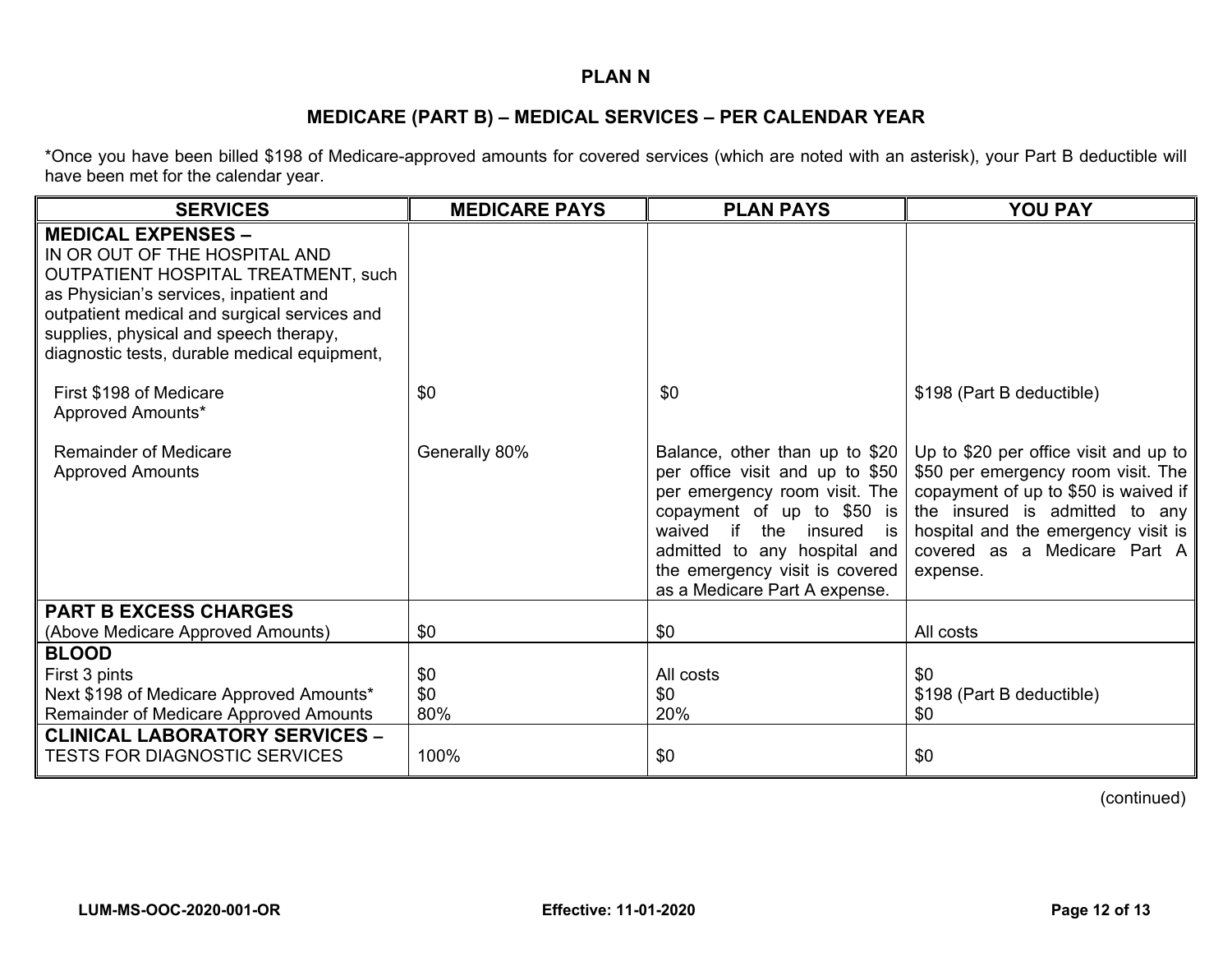## **PLAN N**

## **MEDICARE (PART B) – MEDICAL SERVICES – PER CALENDAR YEAR**

\*Once you have been billed \$198 of Medicare-approved amounts for covered services (which are noted with an asterisk), your Part B deductible will have been met for the calendar year.

| <b>SERVICES</b>                                                                                                                                                                                                                                                                              | <b>MEDICARE PAYS</b> | <b>PLAN PAYS</b>                                                                                                                                                                                                                                                    | <b>YOU PAY</b>                                                                                                                                                                                                                           |
|----------------------------------------------------------------------------------------------------------------------------------------------------------------------------------------------------------------------------------------------------------------------------------------------|----------------------|---------------------------------------------------------------------------------------------------------------------------------------------------------------------------------------------------------------------------------------------------------------------|------------------------------------------------------------------------------------------------------------------------------------------------------------------------------------------------------------------------------------------|
| <b>MEDICAL EXPENSES -</b><br>IN OR OUT OF THE HOSPITAL AND<br><b>OUTPATIENT HOSPITAL TREATMENT, such</b><br>as Physician's services, inpatient and<br>outpatient medical and surgical services and<br>supplies, physical and speech therapy,<br>diagnostic tests, durable medical equipment, |                      |                                                                                                                                                                                                                                                                     |                                                                                                                                                                                                                                          |
| First \$198 of Medicare<br>Approved Amounts*                                                                                                                                                                                                                                                 | \$0                  | \$0                                                                                                                                                                                                                                                                 | \$198 (Part B deductible)                                                                                                                                                                                                                |
| <b>Remainder of Medicare</b><br><b>Approved Amounts</b>                                                                                                                                                                                                                                      | Generally 80%        | Balance, other than up to \$20<br>per office visit and up to \$50<br>per emergency room visit. The<br>copayment of up to $$50$ is<br>waived if<br>the insured is<br>admitted to any hospital and<br>the emergency visit is covered<br>as a Medicare Part A expense. | Up to \$20 per office visit and up to<br>\$50 per emergency room visit. The<br>copayment of up to \$50 is waived if<br>the insured is admitted to any<br>hospital and the emergency visit is<br>covered as a Medicare Part A<br>expense. |
| <b>PART B EXCESS CHARGES</b>                                                                                                                                                                                                                                                                 |                      |                                                                                                                                                                                                                                                                     |                                                                                                                                                                                                                                          |
| (Above Medicare Approved Amounts)                                                                                                                                                                                                                                                            | \$0                  | \$0                                                                                                                                                                                                                                                                 | All costs                                                                                                                                                                                                                                |
| <b>BLOOD</b><br>First 3 pints<br>Next \$198 of Medicare Approved Amounts*<br>Remainder of Medicare Approved Amounts                                                                                                                                                                          | \$0<br>\$0<br>80%    | All costs<br>\$0<br>20%                                                                                                                                                                                                                                             | \$0<br>\$198 (Part B deductible)<br>\$0                                                                                                                                                                                                  |
| <b>CLINICAL LABORATORY SERVICES -</b><br><b>TESTS FOR DIAGNOSTIC SERVICES</b>                                                                                                                                                                                                                | 100%                 | \$0                                                                                                                                                                                                                                                                 | \$0                                                                                                                                                                                                                                      |

(continued)